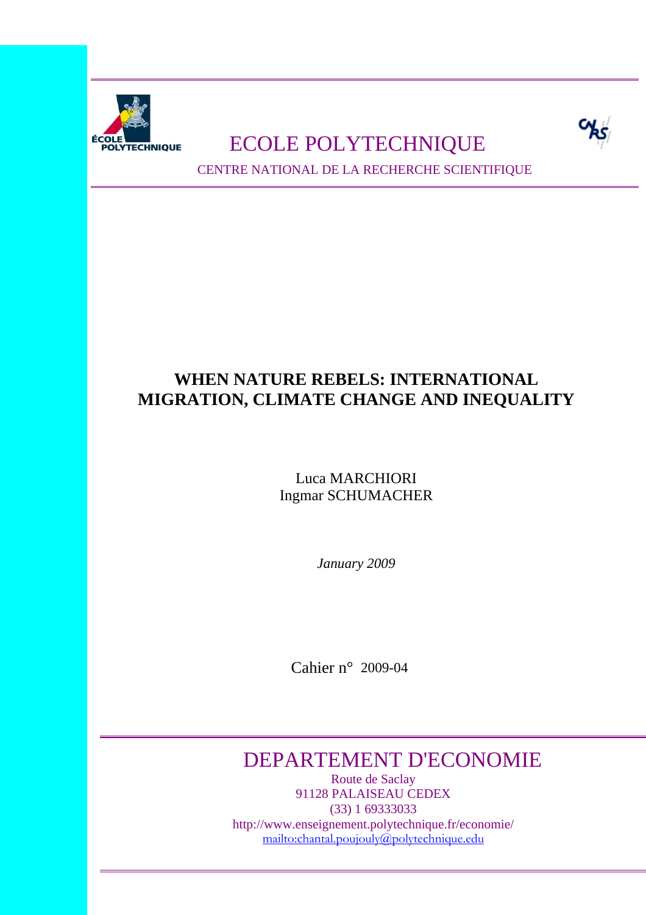

# FOLYTECHNIQUE ECOLE POLYTECHNIQUE



CENTRE NATIONAL DE LA RECHERCHE SCIENTIFIQUE

# **WHEN NATURE REBELS: INTERNATIONAL MIGRATION, CLIMATE CHANGE AND INEQUALITY**

Luca MARCHIORI Ingmar SCHUMACHER

*January 2009* 

Cahier n° 2009-04

# DEPARTEMENT D'ECONOMIE

Route de Saclay 91128 PALAISEAU CEDEX (33) 1 69333033 http://www.enseignement.polytechnique.fr/economie/ mailto:chantal.poujouly@polytechnique.edu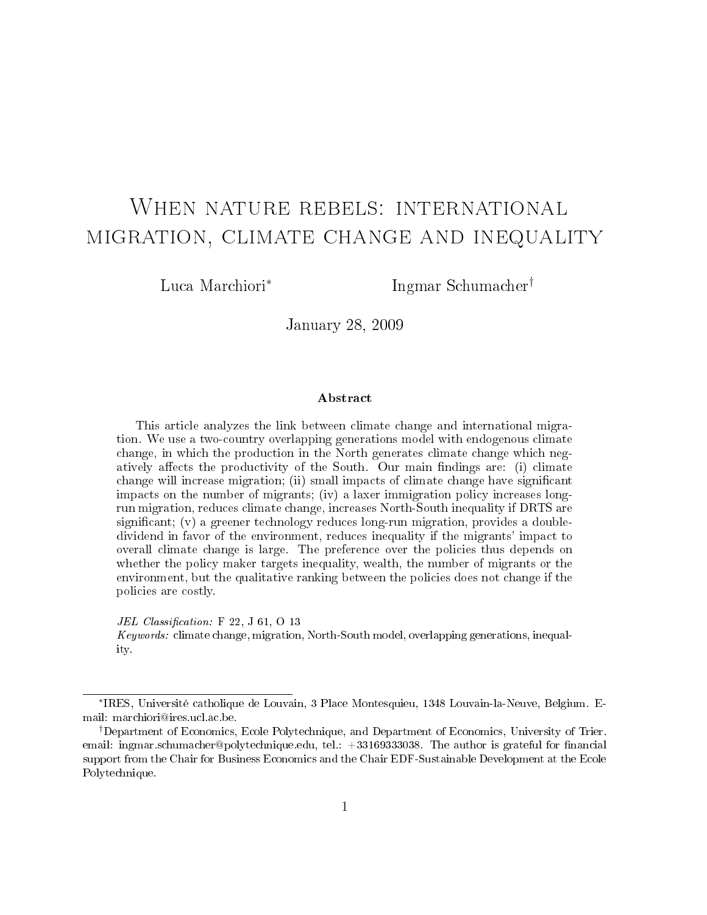# When nature rebels: international migration, climate change and inequality

Luca Marchiori<sup>∗</sup>

Ingmar Schumacher†

January 28, 2009

#### Abstract

This article analyzes the link between climate change and international migration. We use a two-country overlapping generations model with endogenous climate change, in which the production in the North generates climate change which negatively affects the productivity of the South. Our main findings are: (i) climate change will increase migration; (ii) small impacts of climate change have signicant impacts on the number of migrants; (iv) a laxer immigration policy increases longrun migration, reduces climate change, increases North-South inequality if DRTS are significant;  $(v)$  a greener technology reduces long-run migration, provides a doubledividend in favor of the environment, reduces inequality if the migrants' impact to overall climate change is large. The preference over the policies thus depends on whether the policy maker targets inequality, wealth, the number of migrants or the environment, but the qualitative ranking between the policies does not change if the policies are costly.

JEL Classification:  $F$  22, J 61, O 13

Keywords: climate change, migration, North-South model, overlapping generations, inequality.

<sup>∗</sup> IRES, Université catholique de Louvain, 3 Place Montesquieu, 1348 Louvain-la-Neuve, Belgium. Email: marchiori@ires.ucl.ac.be.

<sup>†</sup>Department of Economics, Ecole Polytechnique, and Department of Economics, University of Trier. email: ingmar.schumacher@polytechnique.edu, tel.: +33169333038. The author is grateful for financial support from the Chair for Business Economics and the Chair EDF-Sustainable Development at the Ecole Polytechnique.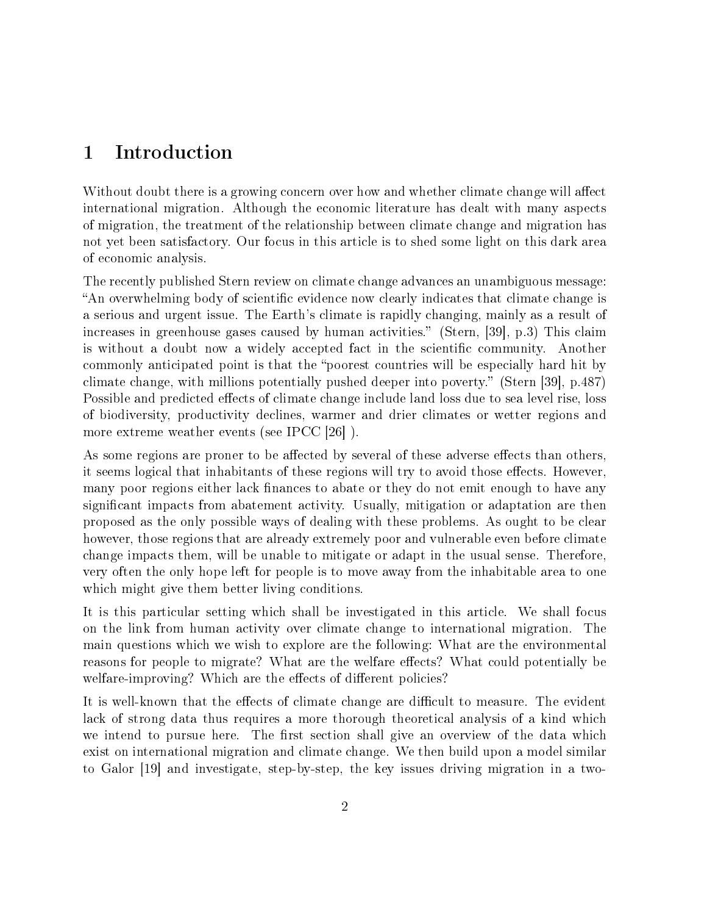# 1 Introduction

Without doubt there is a growing concern over how and whether climate change will affect international migration. Although the economic literature has dealt with many aspects of migration, the treatment of the relationship between climate change and migration has not yet been satisfactory. Our focus in this article is to shed some light on this dark area of economic analysis.

The recently published Stern review on climate change advances an unambiguous message: "An overwhelming body of scientific evidence now clearly indicates that climate change is a serious and urgent issue. The Earth's climate is rapidly changing, mainly as a result of increases in greenhouse gases caused by human activities." (Stern,  $[39]$ , p.3) This claim is without a doubt now a widely accepted fact in the scientific community. Another commonly anticipated point is that the "poorest countries will be especially hard hit by climate change, with millions potentially pushed deeper into poverty. (Stern [39], p.487) Possible and predicted effects of climate change include land loss due to sea level rise, loss of biodiversity, productivity declines, warmer and drier climates or wetter regions and more extreme weather events (see IPCC [26] ).

As some regions are proner to be affected by several of these adverse effects than others. it seems logical that inhabitants of these regions will try to avoid those effects. However, many poor regions either lack finances to abate or they do not emit enough to have any significant impacts from abatement activity. Usually, mitigation or adaptation are then proposed as the only possible ways of dealing with these problems. As ought to be clear however, those regions that are already extremely poor and vulnerable even before climate change impacts them, will be unable to mitigate or adapt in the usual sense. Therefore, very often the only hope left for people is to move away from the inhabitable area to one which might give them better living conditions.

It is this particular setting which shall be investigated in this article. We shall focus on the link from human activity over climate change to international migration. The main questions which we wish to explore are the following: What are the environmental reasons for people to migrate? What are the welfare effects? What could potentially be welfare-improving? Which are the effects of different policies?

It is well-known that the effects of climate change are difficult to measure. The evident lack of strong data thus requires a more thorough theoretical analysis of a kind which we intend to pursue here. The first section shall give an overview of the data which exist on international migration and climate change. We then build upon a model similar to Galor [19] and investigate, step-by-step, the key issues driving migration in a two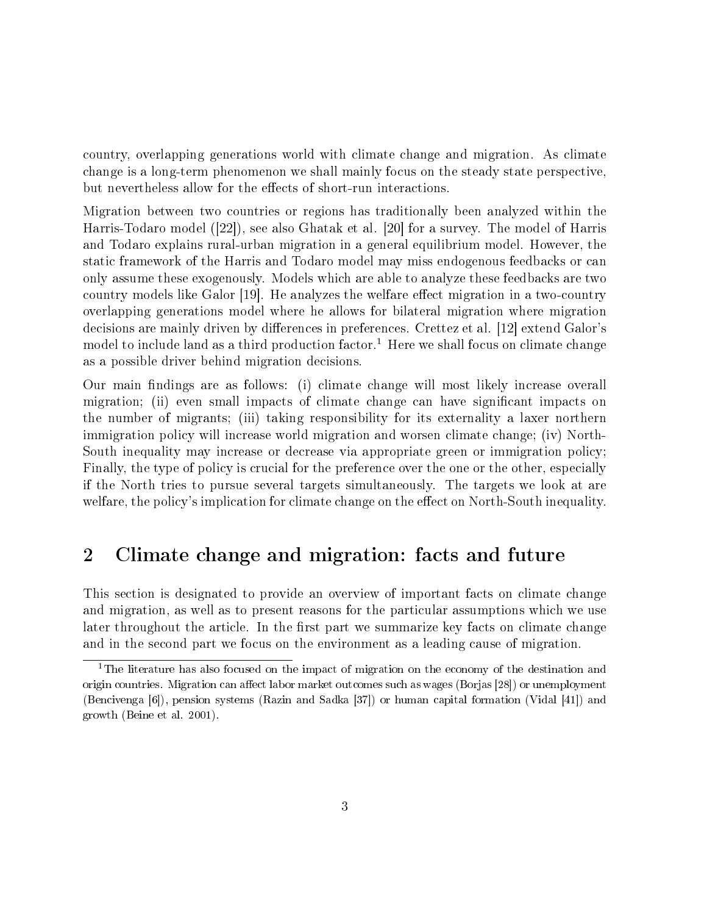country, overlapping generations world with climate change and migration. As climate change is a long-term phenomenon we shall mainly focus on the steady state perspective, but nevertheless allow for the effects of short-run interactions.

Migration between two countries or regions has traditionally been analyzed within the Harris-Todaro model ([22]), see also Ghatak et al. [20] for a survey. The model of Harris and Todaro explains rural-urban migration in a general equilibrium model. However, the static framework of the Harris and Todaro model may miss endogenous feedbacks or can only assume these exogenously. Models which are able to analyze these feedbacks are two country models like Galor  $[19]$ . He analyzes the welfare effect migration in a two-country overlapping generations model where he allows for bilateral migration where migration decisions are mainly driven by differences in preferences. Crettez et al. [12] extend Galor's model to include land as a third production factor.<sup>1</sup> Here we shall focus on climate change as a possible driver behind migration decisions.

Our main findings are as follows: (i) climate change will most likely increase overall migration; (ii) even small impacts of climate change can have significant impacts on the number of migrants; (iii) taking responsibility for its externality a laxer northern immigration policy will increase world migration and worsen climate change; (iv) North-South inequality may increase or decrease via appropriate green or immigration policy; Finally, the type of policy is crucial for the preference over the one or the other, especially if the North tries to pursue several targets simultaneously. The targets we look at are welfare, the policy's implication for climate change on the effect on North-South inequality.

# 2 Climate change and migration: facts and future

This section is designated to provide an overview of important facts on climate change and migration, as well as to present reasons for the particular assumptions which we use later throughout the article. In the first part we summarize key facts on climate change and in the second part we focus on the environment as a leading cause of migration.

<sup>&</sup>lt;sup>1</sup>The literature has also focused on the impact of migration on the economy of the destination and origin countries. Migration can affect labor market outcomes such as wages (Borjas [28]) or unemployment (Bencivenga [6]), pension systems (Razin and Sadka [37]) or human capital formation (Vidal [41]) and growth (Beine et al. 2001).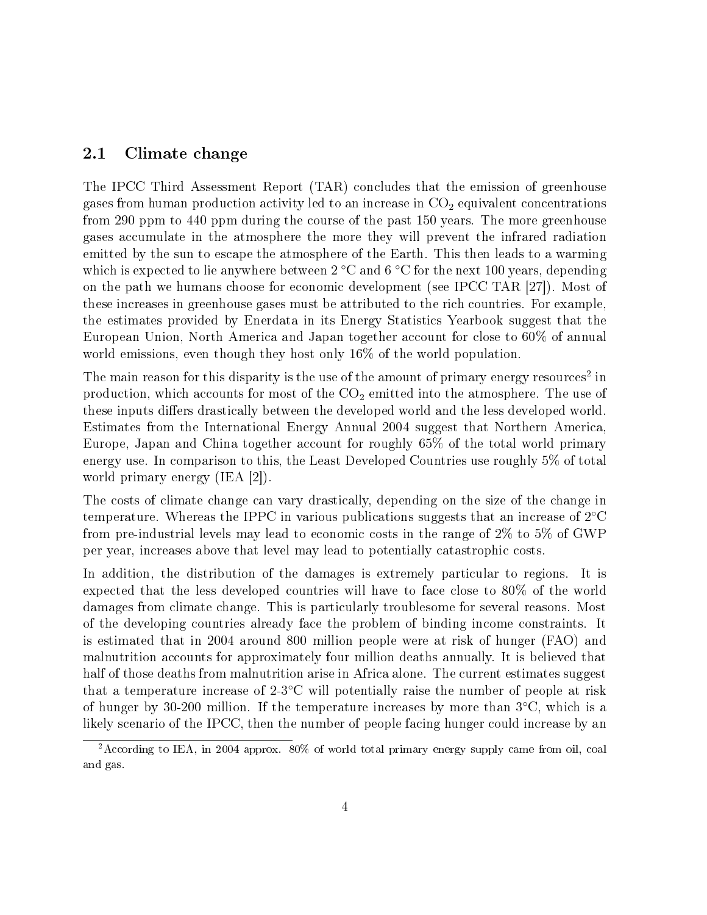### 2.1 Climate change

The IPCC Third Assessment Report (TAR) concludes that the emission of greenhouse gases from human production activity led to an increase in  $CO<sub>2</sub>$  equivalent concentrations from 290 ppm to 440 ppm during the course of the past 150 years. The more greenhouse gases accumulate in the atmosphere the more they will prevent the infrared radiation emitted by the sun to escape the atmosphere of the Earth. This then leads to a warming which is expected to lie anywhere between 2 °C and 6 °C for the next 100 years, depending on the path we humans choose for economic development (see IPCC TAR [27]). Most of these increases in greenhouse gases must be attributed to the rich countries. For example, the estimates provided by Enerdata in its Energy Statistics Yearbook suggest that the European Union, North America and Japan together account for close to 60% of annual world emissions, even though they host only 16% of the world population.

The main reason for this disparity is the use of the amount of primary energy resources<sup>2</sup> in production, which accounts for most of the  $CO<sub>2</sub>$  emitted into the atmosphere. The use of these inputs differs drastically between the developed world and the less developed world. Estimates from the International Energy Annual 2004 suggest that Northern America, Europe, Japan and China together account for roughly 65% of the total world primary energy use. In comparison to this, the Least Developed Countries use roughly 5% of total world primary energy (IEA [2]).

The costs of climate change can vary drastically, depending on the size of the change in temperature. Whereas the IPPC in various publications suggests that an increase of  $2^{\circ}C$ from pre-industrial levels may lead to economic costs in the range of 2% to 5% of GWP per year, increases above that level may lead to potentially catastrophic costs.

In addition, the distribution of the damages is extremely particular to regions. It is expected that the less developed countries will have to face close to 80% of the world damages from climate change. This is particularly troublesome for several reasons. Most of the developing countries already face the problem of binding income constraints. It is estimated that in 2004 around 800 million people were at risk of hunger (FAO) and malnutrition accounts for approximately four million deaths annually. It is believed that half of those deaths from malnutrition arise in Africa alone. The current estimates suggest that a temperature increase of 2-3◦C will potentially raise the number of people at risk of hunger by 30-200 million. If the temperature increases by more than  $3°C$ , which is a likely scenario of the IPCC, then the number of people facing hunger could increase by an

<sup>2</sup>According to IEA, in 2004 approx. 80% of world total primary energy supply came from oil, coal and gas.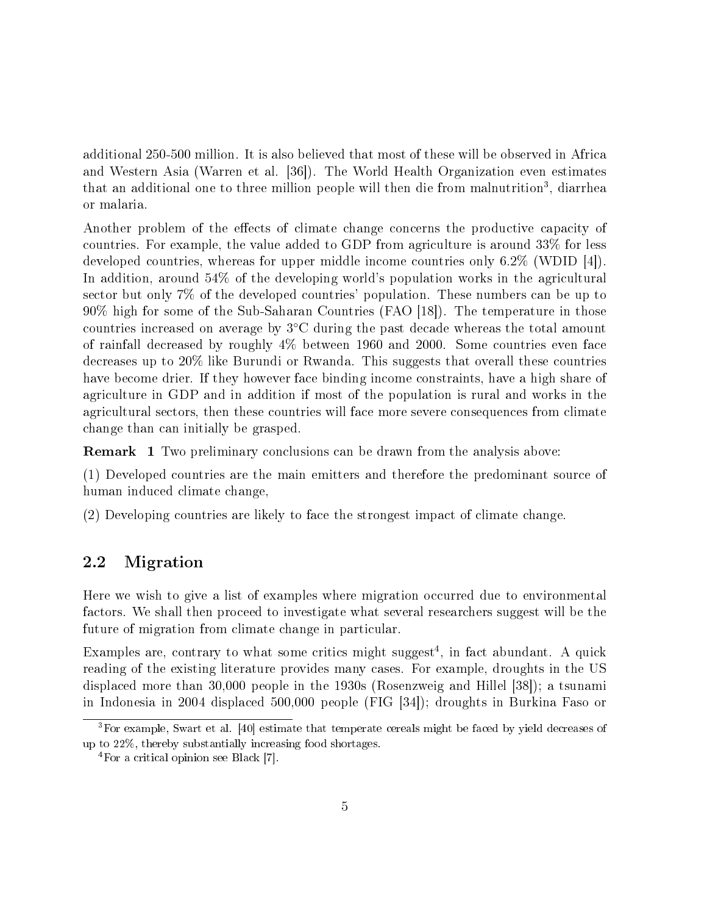additional 250-500 million. It is also believed that most of these will be observed in Africa and Western Asia (Warren et al. [36]). The World Health Organization even estimates that an additional one to three million people will then die from malnutrition<sup>3</sup>, diarrhea or malaria.

Another problem of the effects of climate change concerns the productive capacity of countries. For example, the value added to GDP from agriculture is around 33% for less developed countries, whereas for upper middle income countries only 6.2% (WDID [4]). In addition, around 54% of the developing world's population works in the agricultural sector but only 7% of the developed countries' population. These numbers can be up to 90% high for some of the Sub-Saharan Countries (FAO [18]). The temperature in those countries increased on average by 3◦C during the past decade whereas the total amount of rainfall decreased by roughly 4% between 1960 and 2000. Some countries even face decreases up to 20% like Burundi or Rwanda. This suggests that overall these countries have become drier. If they however face binding income constraints, have a high share of agriculture in GDP and in addition if most of the population is rural and works in the agricultural sectors, then these countries will face more severe consequences from climate change than can initially be grasped.

Remark 1 Two preliminary conclusions can be drawn from the analysis above:

(1) Developed countries are the main emitters and therefore the predominant source of human induced climate change,

(2) Developing countries are likely to face the strongest impact of climate change.

#### 2.2 Migration

Here we wish to give a list of examples where migration occurred due to environmental factors. We shall then proceed to investigate what several researchers suggest will be the future of migration from climate change in particular.

Examples are, contrary to what some critics might suggest<sup>4</sup>, in fact abundant. A quick reading of the existing literature provides many cases. For example, droughts in the US displaced more than 30,000 people in the 1930s (Rosenzweig and Hillel [38]); a tsunami in Indonesia in 2004 displaced 500,000 people (FIG [34]); droughts in Burkina Faso or

<sup>3</sup>For example, Swart et al. [40] estimate that temperate cereals might be faced by yield decreases of up to 22%, thereby substantially increasing food shortages.

<sup>4</sup>For a critical opinion see Black [7].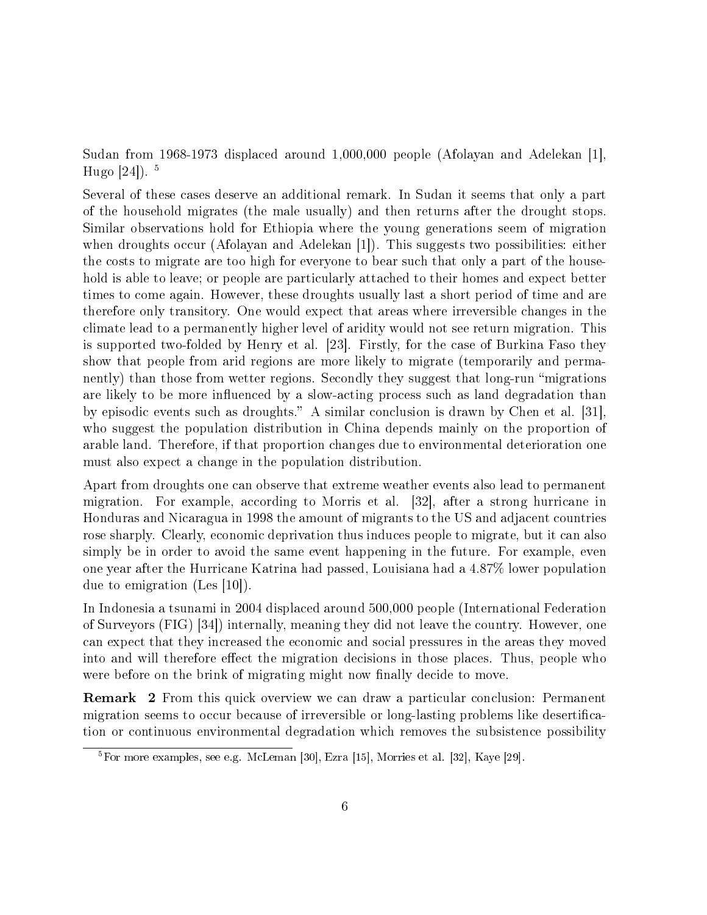Sudan from 1968-1973 displaced around 1,000,000 people (Afolayan and Adelekan [1], Hugo  $[24]$ ).  $5$ 

Several of these cases deserve an additional remark. In Sudan it seems that only a part of the household migrates (the male usually) and then returns after the drought stops. Similar observations hold for Ethiopia where the young generations seem of migration when droughts occur (Afolayan and Adelekan [1]). This suggests two possibilities: either the costs to migrate are too high for everyone to bear such that only a part of the household is able to leave; or people are particularly attached to their homes and expect better times to come again. However, these droughts usually last a short period of time and are therefore only transitory. One would expect that areas where irreversible changes in the climate lead to a permanently higher level of aridity would not see return migration. This is supported two-folded by Henry et al. [23]. Firstly, for the case of Burkina Faso they show that people from arid regions are more likely to migrate (temporarily and permanently) than those from wetter regions. Secondly they suggest that long-run "migrations are likely to be more influenced by a slow-acting process such as land degradation than by episodic events such as droughts." A similar conclusion is drawn by Chen et al. [31], who suggest the population distribution in China depends mainly on the proportion of arable land. Therefore, if that proportion changes due to environmental deterioration one must also expect a change in the population distribution.

Apart from droughts one can observe that extreme weather events also lead to permanent migration. For example, according to Morris et al. [32], after a strong hurricane in Honduras and Nicaragua in 1998 the amount of migrants to the US and adjacent countries rose sharply. Clearly, economic deprivation thus induces people to migrate, but it can also simply be in order to avoid the same event happening in the future. For example, even one year after the Hurricane Katrina had passed, Louisiana had a 4.87% lower population due to emigration (Les [10]).

In Indonesia a tsunami in 2004 displaced around 500,000 people (International Federation of Surveyors (FIG) [34]) internally, meaning they did not leave the country. However, one can expect that they increased the economic and social pressures in the areas they moved into and will therefore effect the migration decisions in those places. Thus, people who were before on the brink of migrating might now finally decide to move.

Remark 2 From this quick overview we can draw a particular conclusion: Permanent migration seems to occur because of irreversible or long-lasting problems like desertication or continuous environmental degradation which removes the subsistence possibility

<sup>5</sup>For more examples, see e.g. McLeman [30], Ezra [15], Morries et al. [32], Kaye [29].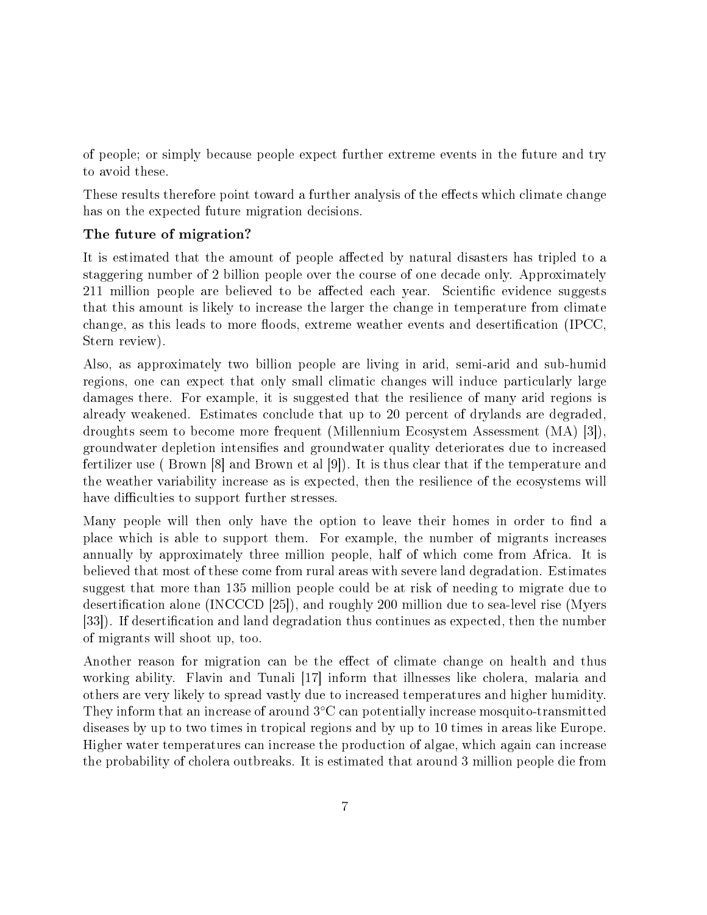of people; or simply because people expect further extreme events in the future and try to avoid these.

These results therefore point toward a further analysis of the effects which climate change has on the expected future migration decisions.

## The future of migration?

It is estimated that the amount of people affected by natural disasters has tripled to a staggering number of 2 billion people over the course of one decade only. Approximately 211 million people are believed to be affected each year. Scientific evidence suggests that this amount is likely to increase the larger the change in temperature from climate change, as this leads to more floods, extreme weather events and desertification (IPCC, Stern review).

Also, as approximately two billion people are living in arid, semi-arid and sub-humid regions, one can expect that only small climatic changes will induce particularly large damages there. For example, it is suggested that the resilience of many arid regions is already weakened. Estimates conclude that up to 20 percent of drylands are degraded, droughts seem to become more frequent (Millennium Ecosystem Assessment (MA) [3]), groundwater depletion intensifies and groundwater quality deteriorates due to increased fertilizer use ( Brown [8] and Brown et al [9]). It is thus clear that if the temperature and the weather variability increase as is expected, then the resilience of the ecosystems will have difficulties to support further stresses.

Many people will then only have the option to leave their homes in order to find a place which is able to support them. For example, the number of migrants increases annually by approximately three million people, half of which come from Africa. It is believed that most of these come from rural areas with severe land degradation. Estimates suggest that more than 135 million people could be at risk of needing to migrate due to desertification alone (INCCCD [25]), and roughly 200 million due to sea-level rise (Myers [33]). If desertification and land degradation thus continues as expected, then the number of migrants will shoot up, too.

Another reason for migration can be the effect of climate change on health and thus working ability. Flavin and Tunali [17] inform that illnesses like cholera, malaria and others are very likely to spread vastly due to increased temperatures and higher humidity. They inform that an increase of around 3◦C can potentially increase mosquito-transmitted diseases by up to two times in tropical regions and by up to 10 times in areas like Europe. Higher water temperatures can increase the production of algae, which again can increase the probability of cholera outbreaks. It is estimated that around 3 million people die from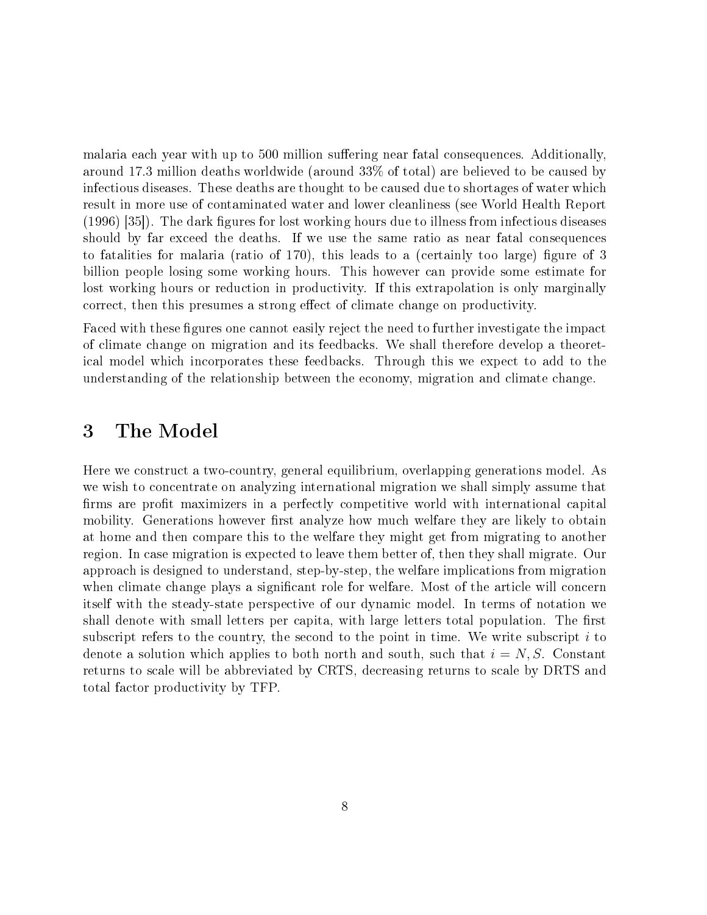malaria each year with up to 500 million suffering near fatal consequences. Additionally, around 17.3 million deaths worldwide (around 33% of total) are believed to be caused by infectious diseases. These deaths are thought to be caused due to shortages of water which result in more use of contaminated water and lower cleanliness (see World Health Report  $(1996)$  [35]). The dark figures for lost working hours due to illness from infectious diseases should by far exceed the deaths. If we use the same ratio as near fatal consequences to fatalities for malaria (ratio of 170), this leads to a (certainly too large) figure of 3 billion people losing some working hours. This however can provide some estimate for lost working hours or reduction in productivity. If this extrapolation is only marginally correct, then this presumes a strong effect of climate change on productivity.

Faced with these figures one cannot easily reject the need to further investigate the impact of climate change on migration and its feedbacks. We shall therefore develop a theoretical model which incorporates these feedbacks. Through this we expect to add to the understanding of the relationship between the economy, migration and climate change.

# 3 The Model

Here we construct a two-country, general equilibrium, overlapping generations model. As we wish to concentrate on analyzing international migration we shall simply assume that firms are profit maximizers in a perfectly competitive world with international capital mobility. Generations however first analyze how much welfare they are likely to obtain at home and then compare this to the welfare they might get from migrating to another region. In case migration is expected to leave them better of, then they shall migrate. Our approach is designed to understand, step-by-step, the welfare implications from migration when climate change plays a significant role for welfare. Most of the article will concern itself with the steady-state perspective of our dynamic model. In terms of notation we shall denote with small letters per capita, with large letters total population. The first subscript refers to the country, the second to the point in time. We write subscript  $i$  to denote a solution which applies to both north and south, such that  $i = N, S$ . Constant returns to scale will be abbreviated by CRTS, decreasing returns to scale by DRTS and total factor productivity by TFP.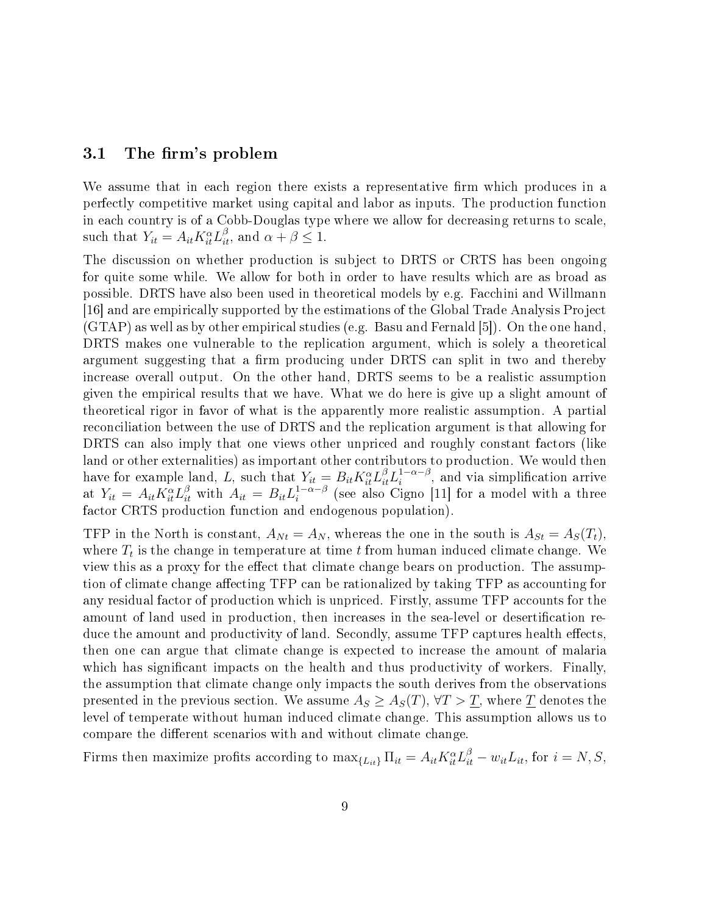#### 3.1 The firm's problem

We assume that in each region there exists a representative firm which produces in a perfectly competitive market using capital and labor as inputs. The production function in each country is of a Cobb-Douglas type where we allow for decreasing returns to scale, such that  $Y_{it} = A_{it} K_{it}^{\alpha} L_{it}^{\beta}$ , and  $\alpha + \beta \leq 1$ .

The discussion on whether production is subject to DRTS or CRTS has been ongoing for quite some while. We allow for both in order to have results which are as broad as possible. DRTS have also been used in theoretical models by e.g. Facchini and Willmann [16] and are empirically supported by the estimations of the Global Trade Analysis Project (GTAP) as well as by other empirical studies (e.g. Basu and Fernald [5]). On the one hand, DRTS makes one vulnerable to the replication argument, which is solely a theoretical argument suggesting that a firm producing under DRTS can split in two and thereby increase overall output. On the other hand, DRTS seems to be a realistic assumption given the empirical results that we have. What we do here is give up a slight amount of theoretical rigor in favor of what is the apparently more realistic assumption. A partial reconciliation between the use of DRTS and the replication argument is that allowing for DRTS can also imply that one views other unpriced and roughly constant factors (like land or other externalities) as important other contributors to production. We would then have for example land, L, such that  $Y_{it} = B_{it} K_{it}^{\alpha} L_{it}^{\beta} L_i^{1-\alpha-\beta}$  $i^{1-\alpha-\beta}$ , and via simplification arrive at  $Y_{it} = A_{it} K_{it}^{\alpha} L_{it}^{\beta}$  with  $A_{it} = B_{it} L_i^{1-\alpha-\beta}$  $\int_{i}^{1-\alpha-\beta}$  (see also Cigno [11] for a model with a three factor CRTS production function and endogenous population).

TFP in the North is constant,  $A_{Nt} = A_N$ , whereas the one in the south is  $A_{St} = A_S(T_t)$ , where  $T_t$  is the change in temperature at time  $t$  from human induced climate change. We view this as a proxy for the effect that climate change bears on production. The assumption of climate change affecting TFP can be rationalized by taking TFP as accounting for any residual factor of production which is unpriced. Firstly, assume TFP accounts for the amount of land used in production, then increases in the sea-level or desertification reduce the amount and productivity of land. Secondly, assume TFP captures health effects, then one can argue that climate change is expected to increase the amount of malaria which has significant impacts on the health and thus productivity of workers. Finally, the assumption that climate change only impacts the south derives from the observations presented in the previous section. We assume  $A_S \geq A_S(T)$ ,  $\forall T > T$ , where T denotes the level of temperate without human induced climate change. This assumption allows us to compare the different scenarios with and without climate change.

Firms then maximize profits according to  $\max_{\{L_{it}\}} \Pi_{it} = A_{it} K_{it}^{\alpha} L_{it}^{\beta} - w_{it} L_{it}$ , for  $i = N, S$ ,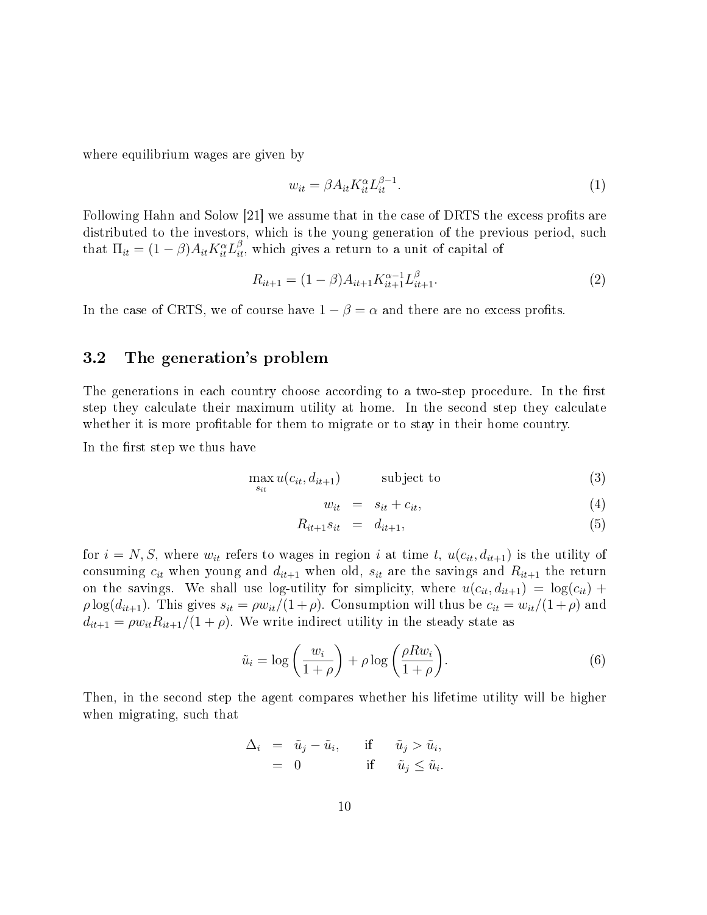where equilibrium wages are given by

$$
w_{it} = \beta A_{it} K_{it}^{\alpha} L_{it}^{\beta - 1}.
$$
\n<sup>(1)</sup>

Following Hahn and Solow [21] we assume that in the case of DRTS the excess profits are distributed to the investors, which is the young generation of the previous period, such that  $\Pi_{it} = (1 - \beta) A_{it} K_{it}^{\alpha} L_{it}^{\beta}$ , which gives a return to a unit of capital of

$$
R_{it+1} = (1 - \beta)A_{it+1}K_{it+1}^{\alpha - 1}L_{it+1}^{\beta}.
$$
\n(2)

In the case of CRTS, we of course have  $1 - \beta = \alpha$  and there are no excess profits.

### 3.2 The generation's problem

The generations in each country choose according to a two-step procedure. In the first step they calculate their maximum utility at home. In the second step they calculate whether it is more profitable for them to migrate or to stay in their home country.

In the first step we thus have

$$
\max_{s_{it}} u(c_{it}, d_{it+1}) \qquad \text{subject to} \qquad (3)
$$

$$
w_{it} = s_{it} + c_{it}, \tag{4}
$$

$$
R_{it+1}s_{it} = d_{it+1}, \tag{5}
$$

for  $i = N, S$ , where  $w_{it}$  refers to wages in region i at time t,  $u(c_{it}, d_{it+1})$  is the utility of consuming  $c_{it}$  when young and  $d_{it+1}$  when old,  $s_{it}$  are the savings and  $R_{it+1}$  the return on the savings. We shall use log-utility for simplicity, where  $u(c_{it}, d_{it+1}) = \log(c_{it}) +$  $\rho \log(d_{it+1})$ . This gives  $s_{it} = \rho w_{it}/(1+\rho)$ . Consumption will thus be  $c_{it} = w_{it}/(1+\rho)$  and  $d_{it+1} = \rho w_{it} R_{it+1}/(1+\rho)$ . We write indirect utility in the steady state as

$$
\tilde{u}_i = \log\left(\frac{w_i}{1+\rho}\right) + \rho \log\left(\frac{\rho R w_i}{1+\rho}\right). \tag{6}
$$

Then, in the second step the agent compares whether his lifetime utility will be higher when migrating, such that

$$
\Delta_i = \tilde{u}_j - \tilde{u}_i, \quad \text{if} \quad \tilde{u}_j > \tilde{u}_i, = 0 \quad \text{if} \quad \tilde{u}_j \leq \tilde{u}_i.
$$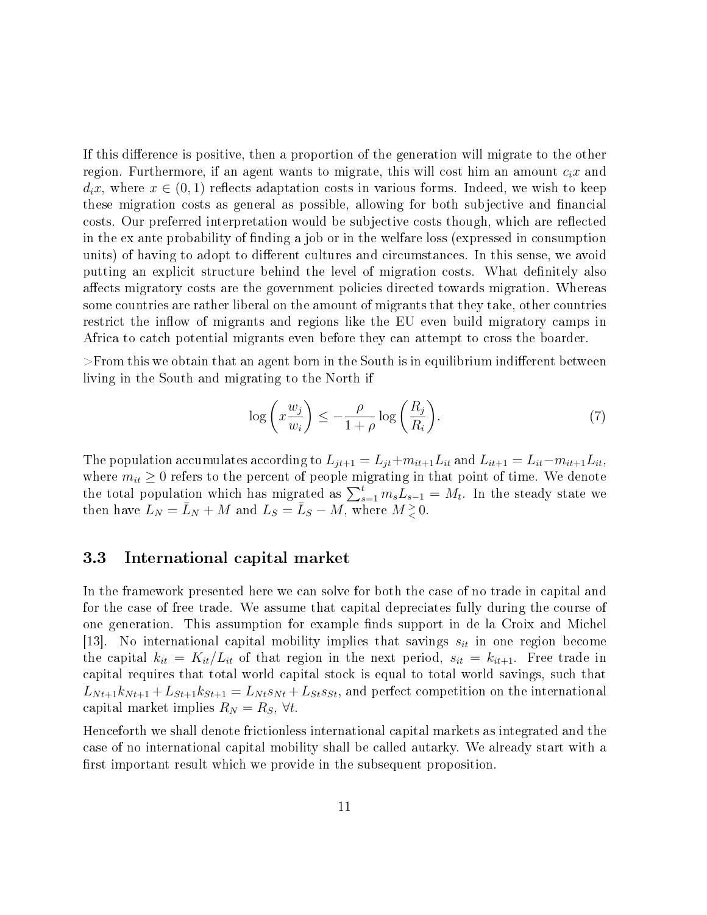If this difference is positive, then a proportion of the generation will migrate to the other region. Furthermore, if an agent wants to migrate, this will cost him an amount  $c_i x$  and  $d_i x$ , where  $x \in (0,1)$  reflects adaptation costs in various forms. Indeed, we wish to keep these migration costs as general as possible, allowing for both subjective and financial costs. Our preferred interpretation would be subjective costs though, which are reflected in the ex ante probability of finding a job or in the welfare loss (expressed in consumption units) of having to adopt to different cultures and circumstances. In this sense, we avoid putting an explicit structure behind the level of migration costs. What definitely also affects migratory costs are the government policies directed towards migration. Whereas some countries are rather liberal on the amount of migrants that they take, other countries restrict the inflow of migrants and regions like the EU even build migratory camps in Africa to catch potential migrants even before they can attempt to cross the boarder.

 $>$ From this we obtain that an agent born in the South is in equilibrium indifferent between living in the South and migrating to the North if

$$
\log\left(x\frac{w_j}{w_i}\right) \le -\frac{\rho}{1+\rho}\log\left(\frac{R_j}{R_i}\right). \tag{7}
$$

The population accumulates according to  $L_{jt+1} = L_{jt} + m_{it+1}L_{it}$  and  $L_{it+1} = L_{it} - m_{it+1}L_{it}$ where  $m_{it} \geq 0$  refers to the percent of people migrating in that point of time. We denote the total population which has migrated as  $\sum_{s=1}^{t} m_s L_{s-1} = M_t$ . In the steady state we then have  $L_N = \bar{L}_N + M$  and  $L_S = \bar{L}_S - M$ , where  $M \geq 0$ .

### 3.3 International capital market

In the framework presented here we can solve for both the case of no trade in capital and for the case of free trade. We assume that capital depreciates fully during the course of one generation. This assumption for example finds support in de la Croix and Michel [13]. No international capital mobility implies that savings  $s_{it}$  in one region become the capital  $k_{it} = K_{it}/L_{it}$  of that region in the next period,  $s_{it} = k_{it+1}$ . Free trade in capital requires that total world capital stock is equal to total world savings, such that  $L_{N t+1} k_{N t+1} + L_{S t+1} k_{S t+1} = L_{N t} s_{N t} + L_{S t} s_{S t}$ , and perfect competition on the international capital market implies  $R_N = R_S$ ,  $\forall t$ .

Henceforth we shall denote frictionless international capital markets as integrated and the case of no international capital mobility shall be called autarky. We already start with a first important result which we provide in the subsequent proposition.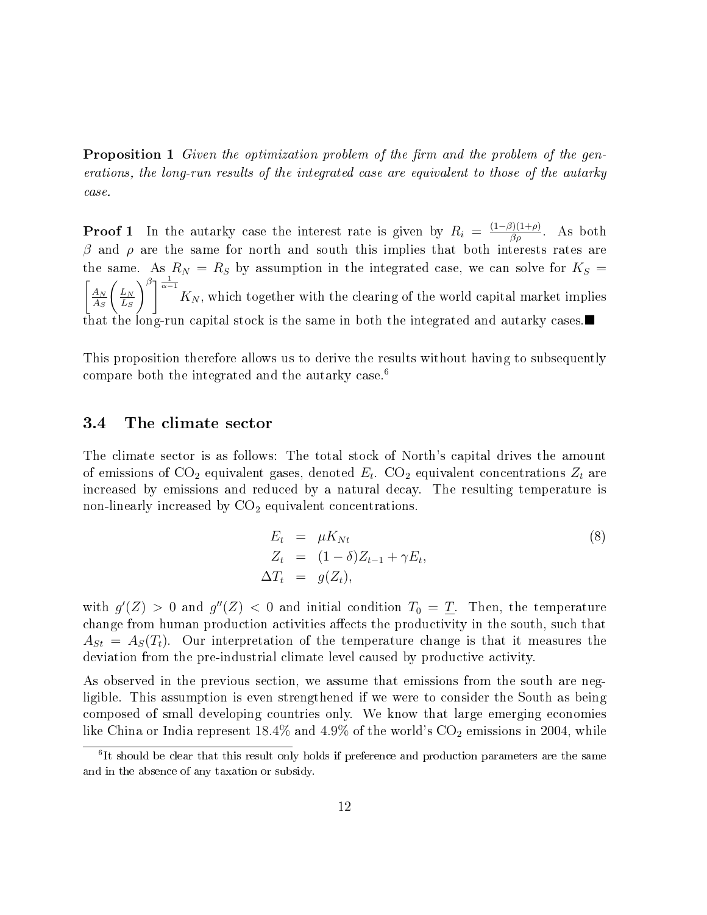**Proposition 1** Given the optimization problem of the firm and the problem of the generations, the long-run results of the integrated case are equivalent to those of the autarky case.

**Proof 1** In the autarky case the interest rate is given by  $R_i = \frac{(1-\beta)(1+\rho)}{\beta \rho}$ . As both β and  $ρ$  are the same for north and south this implies that both interests rates are the same. As  $R_N = R_S$  by assumption in the integrated case, we can solve for  $K_S =$  $\int_{A_N}$  $A_S$  $\int L_N$  $L_S$  $\int_{0}^{\beta} \left| \frac{1}{\alpha - 1} K_N \right|$ , which together with the clearing of the world capital market implies that the long-run capital stock is the same in both the integrated and autarky cases.

This proposition therefore allows us to derive the results without having to subsequently compare both the integrated and the autarky case.<sup>6</sup>

#### 3.4 The climate sector

The climate sector is as follows: The total stock of North's capital drives the amount of emissions of CO<sub>2</sub> equivalent gases, denoted  $E_t$ . CO<sub>2</sub> equivalent concentrations  $Z_t$  are increased by emissions and reduced by a natural decay. The resulting temperature is non-linearly increased by  $CO<sub>2</sub>$  equivalent concentrations.

$$
E_t = \mu K_{Nt}
$$
  
\n
$$
Z_t = (1 - \delta) Z_{t-1} + \gamma E_t,
$$
  
\n
$$
\Delta T_t = g(Z_t),
$$
\n(8)

with  $g'(Z) > 0$  and  $g''(Z) < 0$  and initial condition  $T_0 = \underline{T}$ . Then, the temperature change from human production activities affects the productivity in the south, such that  $A_{St} = A_S(T_t)$ . Our interpretation of the temperature change is that it measures the deviation from the pre-industrial climate level caused by productive activity.

As observed in the previous section, we assume that emissions from the south are negligible. This assumption is even strengthened if we were to consider the South as being composed of small developing countries only. We know that large emerging economies like China or India represent  $18.4\%$  and  $4.9\%$  of the world's  $CO<sub>2</sub>$  emissions in 2004, while

 ${}^{6}$ It should be clear that this result only holds if preference and production parameters are the same and in the absence of any taxation or subsidy.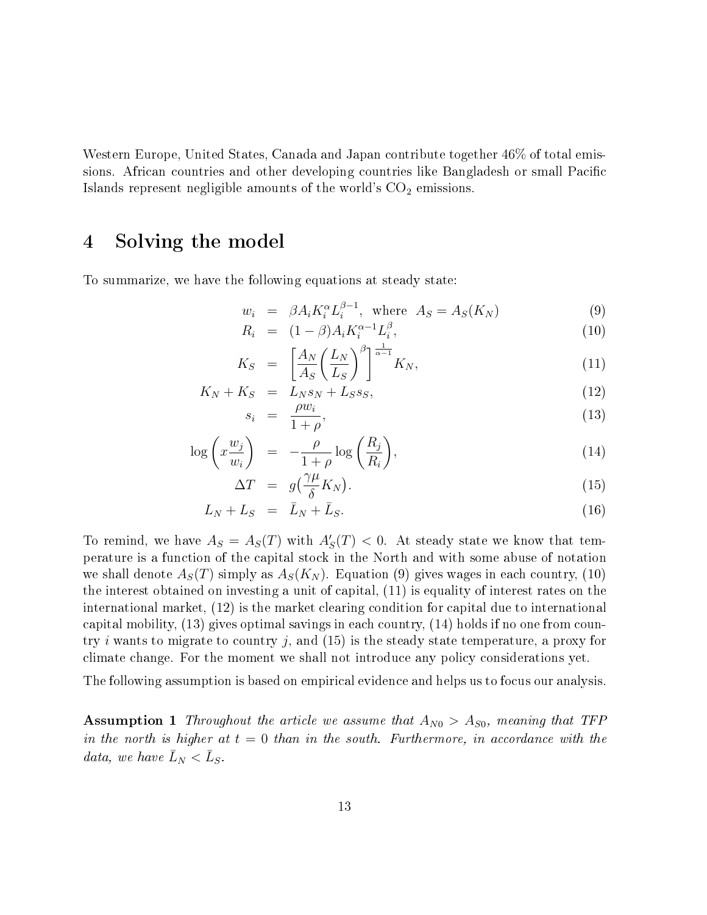Western Europe, United States, Canada and Japan contribute together 46% of total emissions. African countries and other developing countries like Bangladesh or small Pacific Islands represent negligible amounts of the world's  $CO<sub>2</sub>$  emissions.

# 4 Solving the model

To summarize, we have the following equations at steady state:

$$
w_i = \beta A_i K_i^{\alpha} L_i^{\beta - 1}, \quad \text{where} \quad A_S = A_S(K_N) \tag{9}
$$

$$
R_i = (1 - \beta) A_i K_i^{\alpha - 1} L_i^{\beta}, \tag{10}
$$

$$
K_S = \left[\frac{A_N}{A_S} \left(\frac{L_N}{L_S}\right)^{\beta}\right]^{\frac{1}{\alpha - 1}} K_N,
$$
\n(11)

$$
K_N + K_S = L_N s_N + L_S s_S,\tag{12}
$$

$$
s_i = \frac{\rho w_i}{1 + \rho},\tag{13}
$$

$$
\log\left(x\frac{w_j}{w_i}\right) = -\frac{\rho}{1+\rho}\log\left(\frac{R_j}{R_i}\right),\tag{14}
$$

$$
\Delta T = g\left(\frac{\gamma \mu}{\delta} K_N\right). \tag{15}
$$

$$
L_N + L_S = \bar{L}_N + \bar{L}_S. \tag{16}
$$

To remind, we have  $A_S = A_S(T)$  with  $A'_S(T) < 0$ . At steady state we know that temperature is a function of the capital stock in the North and with some abuse of notation we shall denote  $A_S(T)$  simply as  $A_S(K_N)$ . Equation (9) gives wages in each country, (10) the interest obtained on investing a unit of capital, (11) is equality of interest rates on the international market, (12) is the market clearing condition for capital due to international capital mobility, (13) gives optimal savings in each country, (14) holds if no one from country i wants to migrate to country j, and  $(15)$  is the steady state temperature, a proxy for climate change. For the moment we shall not introduce any policy considerations yet.

The following assumption is based on empirical evidence and helps us to focus our analysis.

**Assumption 1** Throughout the article we assume that  $A_{N0} > A_{S0}$ , meaning that TFP in the north is higher at  $t = 0$  than in the south. Furthermore, in accordance with the data, we have  $\bar{L}_N < \bar{L}_S$ .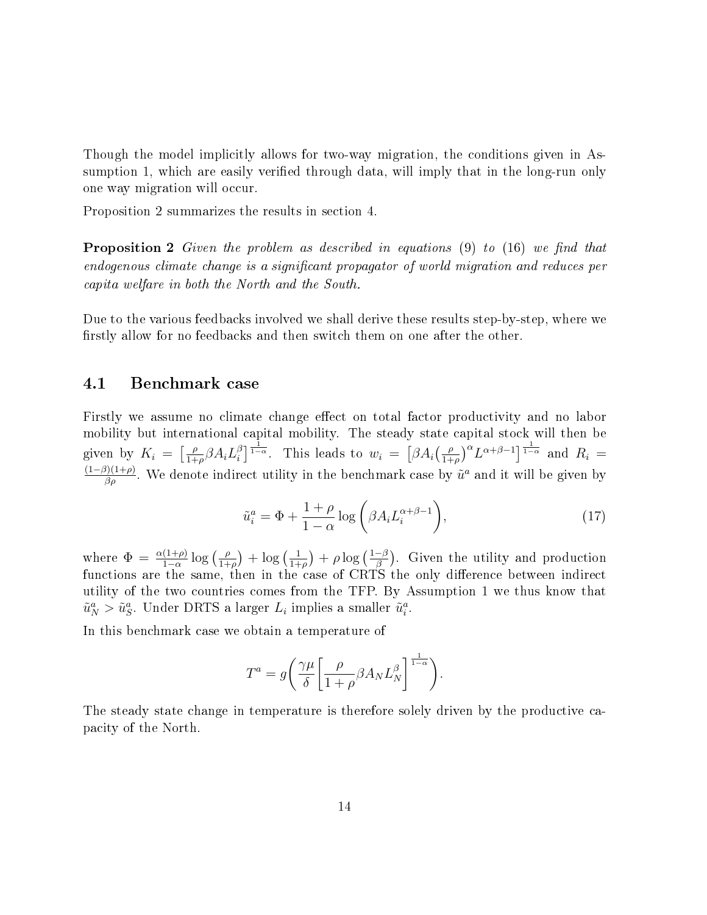Though the model implicitly allows for two-way migration, the conditions given in Assumption 1, which are easily verified through data, will imply that in the long-run only one way migration will occur.

Proposition 2 summarizes the results in section 4.

**Proposition 2** Given the problem as described in equations  $(9)$  to  $(16)$  we find that endogenous climate change is a significant propagator of world migration and reduces per capita welfare in both the North and the South.

Due to the various feedbacks involved we shall derive these results step-by-step, where we firstly allow for no feedbacks and then switch them on one after the other.

#### 4.1 Benchmark case

Firstly we assume no climate change effect on total factor productivity and no labor mobility but international capital mobility. The steady state capital stock will then be given by  $K_i = \left[\frac{\rho}{1+i}\right]$  $\frac{\rho}{1+\rho}\beta A_i L_i^{\beta}$  $\int_{i}^{\beta}$ ] $\frac{1}{1-\alpha}$ . This leads to  $w_i = [\beta A_i(\frac{\rho}{1+\alpha})$  $\left(\frac{\rho}{1+\rho}\right)^{\alpha} L^{\alpha+\beta-1}$   $\frac{1}{1-\alpha}$  and  $R_i =$  $\frac{(1-\beta)(1+\rho)}{\beta\rho}$ . We denote indirect utility in the benchmark case by  $\tilde{u}^a$  and it will be given by

$$
\tilde{u}_i^a = \Phi + \frac{1+\rho}{1-\alpha} \log \left( \beta A_i L_i^{\alpha+\beta-1} \right),\tag{17}
$$

where  $\Phi = \frac{\alpha(1+\rho)}{1-\alpha} \log \left( \frac{\rho}{1+\rho} \right)$  $\frac{\rho}{1+\rho}$  +  $\log\left(\frac{1}{1+\rho}\right)$  $\frac{1}{1+\rho}$ ) +  $\rho \log \left( \frac{1-\beta}{\beta} \right)$  $\frac{-\beta}{\beta}$ ). Given the utility and production functions are the same, then in the case of CRTS the only difference between indirect utility of the two countries comes from the TFP. By Assumption 1 we thus know that  $\tilde{u}_N^a > \tilde{u}_S^a$ . Under DRTS a larger  $L_i$  implies a smaller  $\tilde{u}_i^a$ .

In this benchmark case we obtain a temperature of

$$
T^{a} = g \left( \frac{\gamma \mu}{\delta} \left[ \frac{\rho}{1+\rho} \beta A_{N} L_{N}^{\beta} \right]^{\frac{1}{1-\alpha}} \right).
$$

The steady state change in temperature is therefore solely driven by the productive capacity of the North.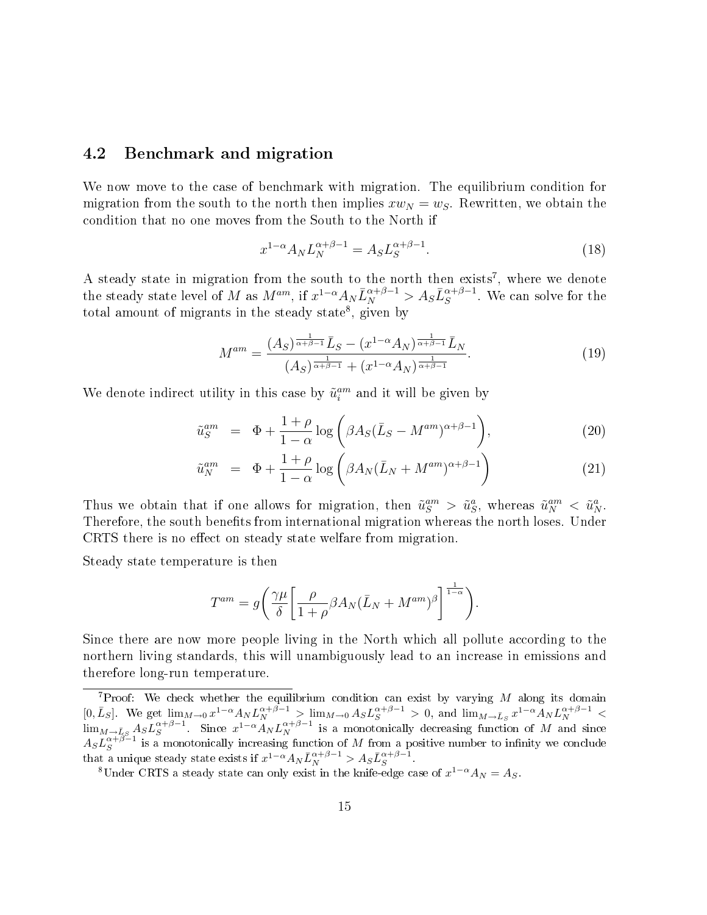### 4.2 Benchmark and migration

We now move to the case of benchmark with migration. The equilibrium condition for migration from the south to the north then implies  $xw_N = w_S$ . Rewritten, we obtain the condition that no one moves from the South to the North if

$$
x^{1-\alpha} A_N L_N^{\alpha+\beta-1} = A_S L_S^{\alpha+\beta-1}.
$$
\n(18)

A steady state in migration from the south to the north then exists<sup>7</sup>, where we denote the steady state level of M as  $M^{am}$ , if  $x^{1-\alpha}A_N\bar{L}_N^{\alpha+\beta-1} > A_S\bar{L}_S^{\alpha+\beta-1}$ . We can solve for the total amount of migrants in the steady state<sup>8</sup>, given by

$$
M^{am} = \frac{(A_S)^{\frac{1}{\alpha + \beta - 1}} \bar{L}_S - (x^{1 - \alpha} A_N)^{\frac{1}{\alpha + \beta - 1}} \bar{L}_N}{(A_S)^{\frac{1}{\alpha + \beta - 1}} + (x^{1 - \alpha} A_N)^{\frac{1}{\alpha + \beta - 1}}}.
$$
(19)

We denote indirect utility in this case by  $\tilde{u}_i^{am}$  and it will be given by

$$
\tilde{u}_S^{am} = \Phi + \frac{1+\rho}{1-\alpha} \log \left( \beta A_S (\bar{L}_S - M^{am})^{\alpha+\beta-1} \right), \tag{20}
$$

$$
\tilde{u}_N^{am} = \Phi + \frac{1+\rho}{1-\alpha} \log \left( \beta A_N (\bar{L}_N + M^{am})^{\alpha+\beta-1} \right) \tag{21}
$$

Thus we obtain that if one allows for migration, then  $\tilde{u}_S^{am} > \tilde{u}_S^a$ , whereas  $\tilde{u}_N^{am} < \tilde{u}_N^a$ . Therefore, the south benefits from international migration whereas the north loses. Under CRTS there is no effect on steady state welfare from migration.

Steady state temperature is then

$$
T^{am} = g \left( \frac{\gamma \mu}{\delta} \left[ \frac{\rho}{1+\rho} \beta A_N (\bar{L}_N + M^{am})^{\beta} \right]^{1-\alpha} \right).
$$

Since there are now more people living in the North which all pollute according to the northern living standards, this will unambiguously lead to an increase in emissions and therefore long-run temperature.

<sup>&</sup>lt;sup>7</sup>Proof: We check whether the equilibrium condition can exist by varying  $M$  along its domain  $[0,\bar{L}_S]$ . We get  $\lim_{M\to 0} x^{1-\alpha} A_N L_N^{\alpha+\beta-1} > \lim_{M\to 0} A_S L_S^{\alpha+\beta-1} > 0$ , and  $\lim_{M\to \bar{L}_S} x^{1-\alpha} A_N L_N^{\alpha+\beta-1}$  $\lim_{M\to \bar{L}_S} A_S L_S^{\alpha+\beta-1}$ . Since  $x^{1-\alpha}A_N L_N^{\alpha+\beta-1}$  is a monotonically decreasing function of M and since  $A_S L_S^{\alpha+\beta-1}$  is a monotonically increasing function of M from a positive number to infinity we conclude that a unique steady state exists if  $x^{1-\alpha} A_N \bar{L}_N^{\alpha+\beta-1} > A_S \bar{L}_S^{\alpha+\beta-1}$ .

<sup>&</sup>lt;sup>8</sup>Under CRTS a steady state can only exist in the knife-edge case of  $x^{1-\alpha}A_N = A_S$ .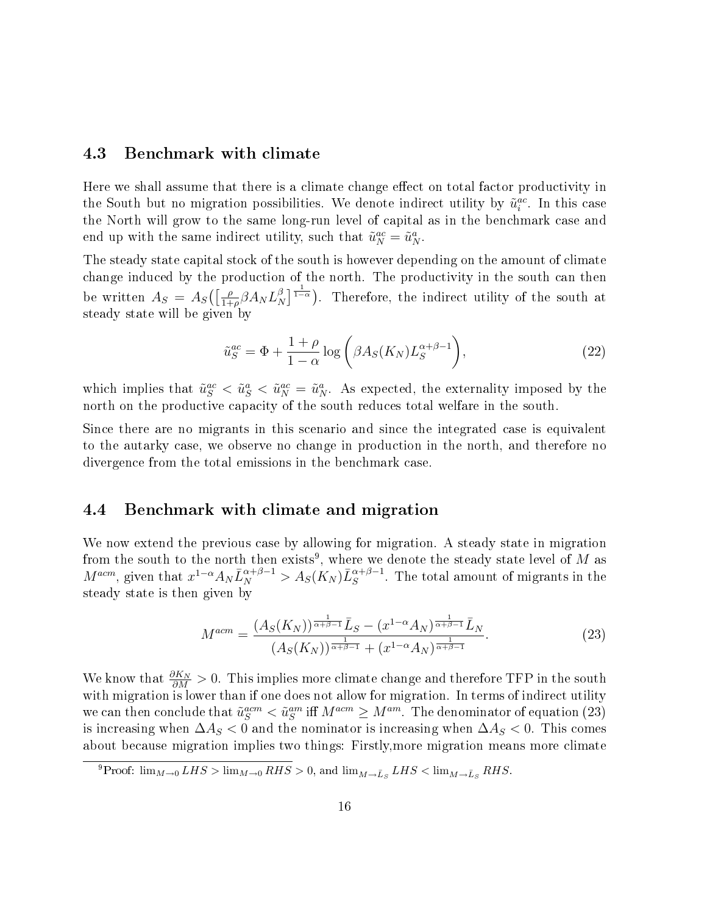### 4.3 Benchmark with climate

Here we shall assume that there is a climate change effect on total factor productivity in the South but no migration possibilities. We denote indirect utility by  $\tilde{u}_i^{ac}$ . In this case the North will grow to the same long-run level of capital as in the benchmark case and end up with the same indirect utility, such that  $\tilde{u}_N^{ac} = \tilde{u}_N^a$ .

The steady state capital stock of the south is however depending on the amount of climate change induced by the production of the north. The productivity in the south can then be written  $A_S = A_S \left( \frac{\rho}{1 + \rho} \right)$  $\frac{\rho}{1+\rho}\beta A_N L_N^\beta$  $\binom{\beta}{N}^{\frac{1}{1-\alpha}}$ . Therefore, the indirect utility of the south at steady state will be given by

$$
\tilde{u}_S^{ac} = \Phi + \frac{1+\rho}{1-\alpha} \log \left( \beta A_S(K_N) L_S^{\alpha+\beta-1} \right),\tag{22}
$$

which implies that  $\tilde{u}_S^{ac} < \tilde{u}_S^a < \tilde{u}_N^{ac} = \tilde{u}_N^a$ . As expected, the externality imposed by the north on the productive capacity of the south reduces total welfare in the south.

Since there are no migrants in this scenario and since the integrated case is equivalent to the autarky case, we observe no change in production in the north, and therefore no divergence from the total emissions in the benchmark case.

### 4.4 Benchmark with climate and migration

We now extend the previous case by allowing for migration. A steady state in migration from the south to the north then exists<sup>9</sup>, where we denote the steady state level of M as  $M^{acm}$ , given that  $x^{1-\alpha}A_N\bar{L}_N^{\alpha+\beta-1} > A_S(K_N)\bar{L}_S^{\alpha+\beta-1}$ . The total amount of migrants in the steady state is then given by

$$
M^{acm} = \frac{(A_S(K_N))^{\frac{1}{\alpha+\beta-1}} \bar{L}_S - (x^{1-\alpha} A_N)^{\frac{1}{\alpha+\beta-1}} \bar{L}_N}{(A_S(K_N))^{\frac{1}{\alpha+\beta-1}} + (x^{1-\alpha} A_N)^{\frac{1}{\alpha+\beta-1}}}.
$$
(23)

We know that  $\frac{\partial K_N}{\partial M} > 0$ . This implies more climate change and therefore TFP in the south with migration is lower than if one does not allow for migration. In terms of indirect utility we can then conclude that  $\tilde{u}_S^{acm} < \tilde{u}_S^{am}$  iff  $M^{acm} \ge M^{am}$ . The denominator of equation (23) is increasing when  $\Delta A_S < 0$  and the nominator is increasing when  $\Delta A_S < 0$ . This comes about because migration implies two things: Firstly,more migration means more climate

<sup>&</sup>lt;sup>9</sup>Proof:  $\lim_{M\to 0} LHS > \lim_{M\to 0} RHS > 0$ , and  $\lim_{M\to \bar{L}_S} LHS < \lim_{M\to \bar{L}_S} RHS$ .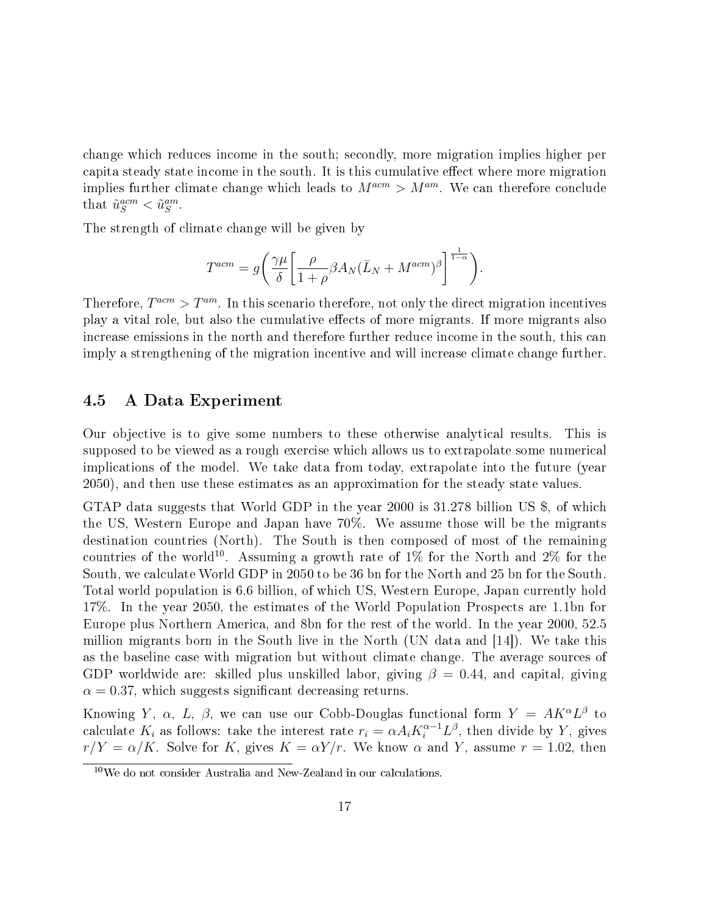change which reduces income in the south; secondly, more migration implies higher per capita steady state income in the south. It is this cumulative effect where more migration implies further climate change which leads to  $M^{acm} > M^{am}$ . We can therefore conclude that  $\tilde{u}_S^{acm} < \tilde{u}_S^{am}$ .

The strength of climate change will be given by

$$
T^{acm} = g \left( \frac{\gamma \mu}{\delta} \left[ \frac{\rho}{1+\rho} \beta A_N (\bar{L}_N + M^{acm})^{\beta} \right]^{1-\alpha} \right).
$$

Therefore,  $T^{acm} > T^{am}$ . In this scenario therefore, not only the direct migration incentives play a vital role, but also the cumulative effects of more migrants. If more migrants also increase emissions in the north and therefore further reduce income in the south, this can imply a strengthening of the migration incentive and will increase climate change further.

#### 4.5 A Data Experiment

Our objective is to give some numbers to these otherwise analytical results. This is supposed to be viewed as a rough exercise which allows us to extrapolate some numerical implications of the model. We take data from today, extrapolate into the future (year 2050), and then use these estimates as an approximation for the steady state values.

GTAP data suggests that World GDP in the year 2000 is 31.278 billion US \$, of which the US, Western Europe and Japan have 70%. We assume those will be the migrants destination countries (North). The South is then composed of most of the remaining countries of the world<sup>10</sup>. Assuming a growth rate of  $1\%$  for the North and  $2\%$  for the South, we calculate World GDP in 2050 to be 36 bn for the North and 25 bn for the South. Total world population is 6.6 billion, of which US, Western Europe, Japan currently hold 17%. In the year 2050, the estimates of the World Population Prospects are 1.1bn for Europe plus Northern America, and 8bn for the rest of the world. In the year 2000, 52.5 million migrants born in the South live in the North (UN data and [14]). We take this as the baseline case with migration but without climate change. The average sources of GDP worldwide are: skilled plus unskilled labor, giving  $\beta = 0.44$ , and capital, giving  $\alpha = 0.37$ , which suggests significant decreasing returns.

Knowing Y,  $\alpha$ , L,  $\beta$ , we can use our Cobb-Douglas functional form  $Y = AK^{\alpha}L^{\beta}$  to calculate  $K_i$  as follows: take the interest rate  $r_i = \alpha A_i K_i^{\alpha-1} L^{\beta}$ , then divide by Y, gives  $r/Y = \alpha/K$ . Solve for K, gives  $K = \alpha Y/r$ . We know  $\alpha$  and Y, assume  $r = 1.02$ , then

 $10$ We do not consider Australia and New-Zealand in our calculations.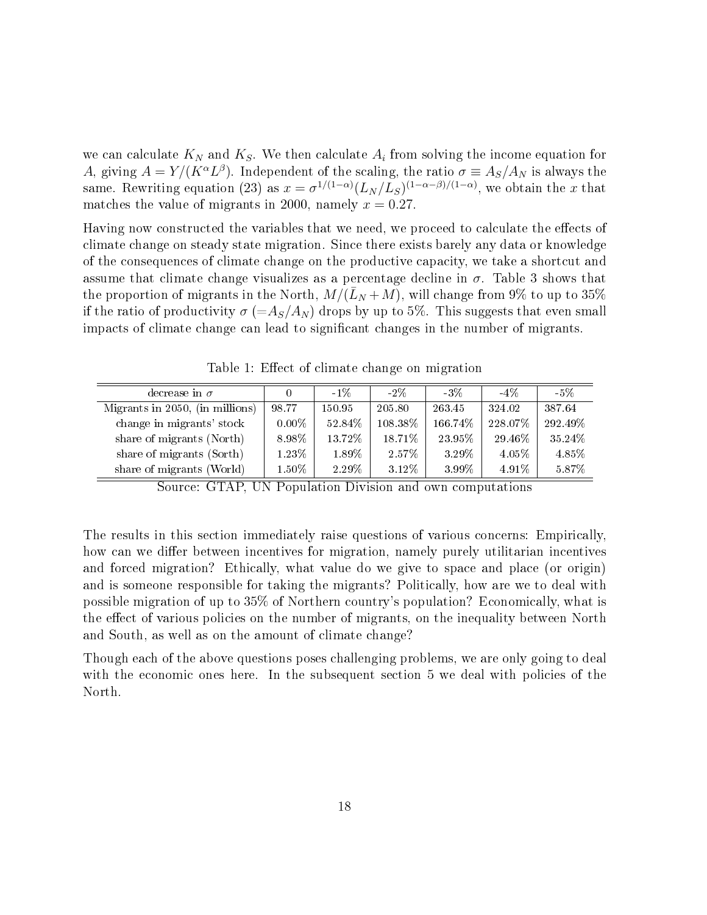we can calculate  $K_N$  and  $K_S.$  We then calculate  $A_i$  from solving the income equation for A, giving  $A = Y/(K^{\alpha}L^{\beta})$ . Independent of the scaling, the ratio  $\sigma \equiv A_S/A_N$  is always the same. Rewriting equation (23) as  $x = \sigma^{1/(1-\alpha)} (L_N/L_S)^{(1-\alpha-\beta)/(1-\alpha)}$ , we obtain the x that matches the value of migrants in 2000, namely  $x = 0.27$ .

Having now constructed the variables that we need, we proceed to calculate the effects of climate change on steady state migration. Since there exists barely any data or knowledge of the consequences of climate change on the productive capacity, we take a shortcut and assume that climate change visualizes as a percentage decline in  $\sigma$ . Table 3 shows that the proportion of migrants in the North,  $M/(L_N + M)$ , will change from 9% to up to 35% if the ratio of productivity  $\sigma$  (=A<sub>S</sub>/A<sub>N</sub>) drops by up to 5%. This suggests that even small impacts of climate change can lead to signicant changes in the number of migrants.

Table 1: Effect of climate change on migration

| decrease in $\sigma$            |          | $-1\%$ | $-2\%$  | $-3\%$  | $-4\%$   | -5%     |
|---------------------------------|----------|--------|---------|---------|----------|---------|
| Migrants in 2050, (in millions) | 98.77    | 150.95 | 205.80  | 263.45  | 324.02   | 387.64  |
| change in migrants' stock       | $0.00\%$ | 52.84% | 108.38% | 166.74% | 228.07%  | 292.49% |
| share of migrants (North)       | 8.98%    | 13.72% | 18.71%  | 23.95%  | 29.46%   | 35.24%  |
| share of migrants (Sorth)       | 1.23%    | 1.89%  | 2.57%   | 3.29%   | $4.05\%$ | 4.85%   |
| share of migrants (World)       | $1.50\%$ | 2.29%  | 3.12%   | 3.99%   | $4.91\%$ | 5.87%   |

Source: GTAP, UN Population Division and own computations

The results in this section immediately raise questions of various concerns: Empirically, how can we differ between incentives for migration, namely purely utilitarian incentives and forced migration? Ethically, what value do we give to space and place (or origin) and is someone responsible for taking the migrants? Politically, how are we to deal with possible migration of up to 35% of Northern country's population? Economically, what is the effect of various policies on the number of migrants, on the inequality between North and South, as well as on the amount of climate change?

Though each of the above questions poses challenging problems, we are only going to deal with the economic ones here. In the subsequent section 5 we deal with policies of the North.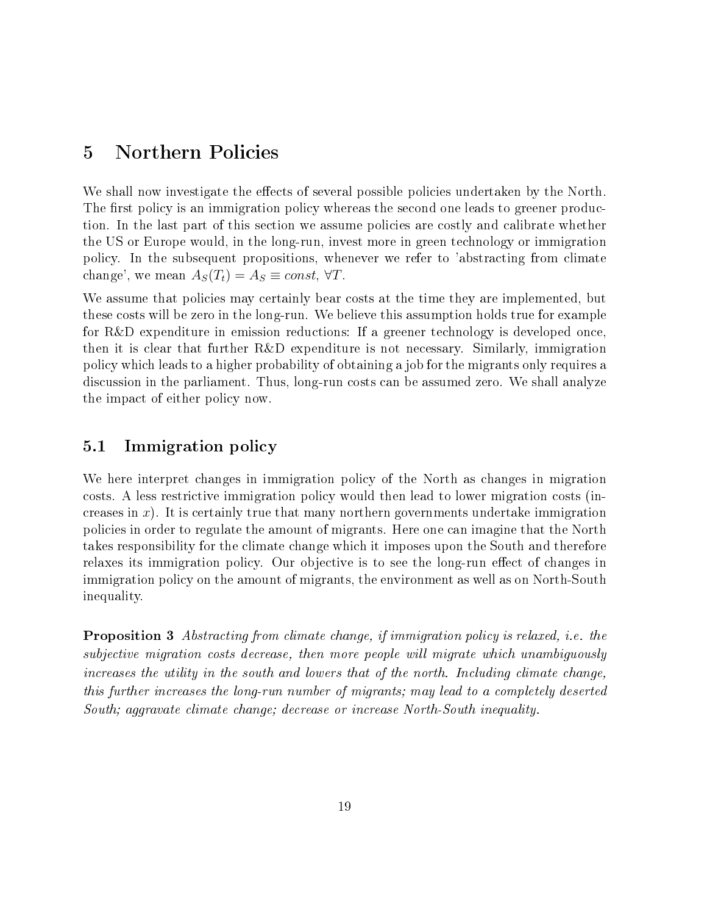# 5 Northern Policies

We shall now investigate the effects of several possible policies undertaken by the North. The first policy is an immigration policy whereas the second one leads to greener production. In the last part of this section we assume policies are costly and calibrate whether the US or Europe would, in the long-run, invest more in green technology or immigration policy. In the subsequent propositions, whenever we refer to 'abstracting from climate change', we mean  $A_S(T_t) = A_S \equiv const, \forall T$ .

We assume that policies may certainly bear costs at the time they are implemented, but these costs will be zero in the long-run. We believe this assumption holds true for example for R&D expenditure in emission reductions: If a greener technology is developed once, then it is clear that further R&D expenditure is not necessary. Similarly, immigration policy which leads to a higher probability of obtaining a job for the migrants only requires a discussion in the parliament. Thus, long-run costs can be assumed zero. We shall analyze the impact of either policy now.

## 5.1 Immigration policy

We here interpret changes in immigration policy of the North as changes in migration costs. A less restrictive immigration policy would then lead to lower migration costs (increases in  $x$ ). It is certainly true that many northern governments undertake immigration policies in order to regulate the amount of migrants. Here one can imagine that the North takes responsibility for the climate change which it imposes upon the South and therefore relaxes its immigration policy. Our objective is to see the long-run effect of changes in immigration policy on the amount of migrants, the environment as well as on North-South inequality.

Proposition 3 Abstracting from climate change, if immigration policy is relaxed, i.e. the subjective migration costs decrease, then more people will migrate which unambiguously increases the utility in the south and lowers that of the north. Including climate change, this further increases the long-run number of migrants; may lead to a completely deserted South; aggravate climate change; decrease or increase North-South inequality.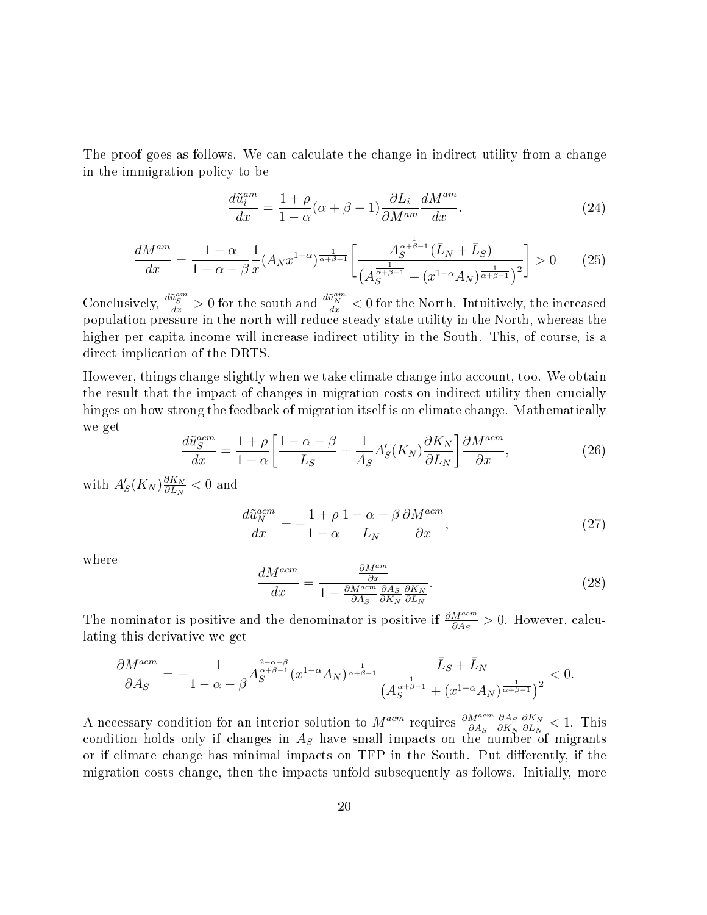The proof goes as follows. We can calculate the change in indirect utility from a change in the immigration policy to be

$$
\frac{d\tilde{u}_i^{am}}{dx} = \frac{1+\rho}{1-\alpha}(\alpha+\beta-1)\frac{\partial L_i}{\partial M^{am}}\frac{dM^{am}}{dx}.
$$
\n(24)

$$
\frac{dM^{am}}{dx} = \frac{1-\alpha}{1-\alpha-\beta} \frac{1}{x} (A_N x^{1-\alpha})^{\frac{1}{\alpha+\beta-1}} \left[ \frac{A_S^{\frac{1}{\alpha+\beta-1}}(\bar{L}_N + \bar{L}_S)}{(A_S^{\frac{1}{\alpha+\beta-1}} + (x^{1-\alpha} A_N)^{\frac{1}{\alpha+\beta-1}})^2} \right] > 0 \tag{25}
$$

Conclusively,  $\frac{d\tilde{u}^{an}_S}{dx} > 0$  for the south and  $\frac{d\tilde{u}^{am}_N}{dx} < 0$  for the North. Intuitively, the increased population pressure in the north will reduce steady state utility in the North, whereas the higher per capita income will increase indirect utility in the South. This, of course, is a direct implication of the DRTS.

However, things change slightly when we take climate change into account, too. We obtain the result that the impact of changes in migration costs on indirect utility then crucially hinges on how strong the feedback of migration itself is on climate change. Mathematically we get

$$
\frac{d\tilde{u}_S^{acm}}{dx} = \frac{1+\rho}{1-\alpha} \left[ \frac{1-\alpha-\beta}{L_S} + \frac{1}{A_S} A'_S(K_N) \frac{\partial K_N}{\partial L_N} \right] \frac{\partial M^{acm}}{\partial x},\tag{26}
$$

with  $A_S'(K_N) \frac{\partial K_N}{\partial L_N}$  $\frac{\partial K_N}{\partial L_N} < 0$  and

$$
\frac{d\tilde{u}_N^{acm}}{dx} = -\frac{1+\rho}{1-\alpha} \frac{1-\alpha-\beta}{L_N} \frac{\partial M^{acm}}{\partial x},\tag{27}
$$

where

$$
\frac{dM^{acm}}{dx} = \frac{\frac{\partial M^{am}}{\partial x}}{1 - \frac{\partial M^{acm}}{\partial A_S} \frac{\partial A_S}{\partial K_N} \frac{\partial K_N}{\partial L_N}}.\tag{28}
$$

The nominator is positive and the denominator is positive if  $\frac{\partial M^{acm}}{\partial A_S} > 0$ . However, calculating this derivative we get

$$
\frac{\partial M^{acm}}{\partial A_S}=-\frac{1}{1-\alpha-\beta}A_S^{\frac{2-\alpha-\beta}{\alpha+\beta-1}}(x^{1-\alpha}A_N)^{\frac{1}{\alpha+\beta-1}}\frac{\bar{L}_S+\bar{L}_N}{\left(A_S^{\frac{1}{\alpha+\beta-1}}+(x^{1-\alpha}A_N)^{\frac{1}{\alpha+\beta-1}}\right)^2}<0.
$$

A necessary condition for an interior solution to  $M^{acm}$  requires  $\frac{\partial M^{acm}}{\partial A_S}$  $\partial A_S$  $\partial K_N$  $\partial K_N$  $\frac{\partial K_N}{\partial L_N} < 1$ . This condition holds only if changes in  $A_S$  have small impacts on the number of migrants or if climate change has minimal impacts on TFP in the South. Put differently, if the migration costs change, then the impacts unfold subsequently as follows. Initially, more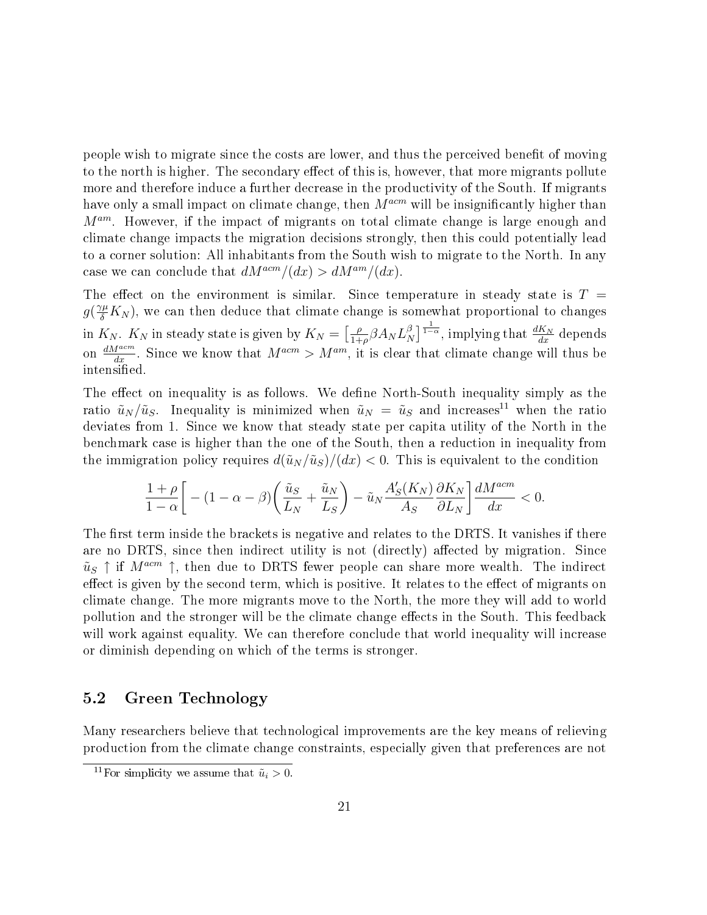people wish to migrate since the costs are lower, and thus the perceived benefit of moving to the north is higher. The secondary effect of this is, however, that more migrants pollute more and therefore induce a further decrease in the productivity of the South. If migrants have only a small impact on climate change, then  $M^{acm}$  will be insignificantly higher than  $M^{am}$ . However, if the impact of migrants on total climate change is large enough and climate change impacts the migration decisions strongly, then this could potentially lead to a corner solution: All inhabitants from the South wish to migrate to the North. In any case we can conclude that  $dM^{acm}/(dx) > dM^{am}/(dx)$ .

The effect on the environment is similar. Since temperature in steady state is  $T =$  $g(\frac{\gamma\mu}{\delta}K_N)$ , we can then deduce that climate change is somewhat proportional to changes in  $K_N$ .  $K_N$  in steady state is given by  $K_N = \begin{bmatrix} \frac{\rho}{1 + \rho} \end{bmatrix}$  $\frac{\rho}{1+\rho}\beta A_N L_N^\beta$  $\frac{\beta}{N}$ ] $\frac{1}{1-\alpha}$ , implying that  $\frac{dK_N}{dx}$  depends on  $\frac{dM^{acm}}{dx}$ . Since we know that  $M^{acm} > M^{am}$ , it is clear that climate change will thus be intensified.

The effect on inequality is as follows. We define North-South inequality simply as the ratio  $\tilde{u}_N/\tilde{u}_S$ . Inequality is minimized when  $\tilde{u}_N = \tilde{u}_S$  and increases<sup>11</sup> when the ratio deviates from 1. Since we know that steady state per capita utility of the North in the benchmark case is higher than the one of the South, then a reduction in inequality from the immigration policy requires  $d(\tilde{u}_N/\tilde{u}_S)/(dx) < 0$ . This is equivalent to the condition

$$
\frac{1+\rho}{1-\alpha}\bigg[-(1-\alpha-\beta)\bigg(\frac{\tilde u_S}{L_N}+\frac{\tilde u_N}{L_S}\bigg)-\tilde u_N\frac{A'_S(K_N)}{A_S}\frac{\partial K_N}{\partial L_N}\bigg]\frac{dM^{acm}}{dx}<0.
$$

The first term inside the brackets is negative and relates to the DRTS. It vanishes if there are no DRTS, since then indirect utility is not (directly) affected by migration. Since  $\tilde{u}_S \uparrow$  if  $M^{acm} \uparrow$ , then due to DRTS fewer people can share more wealth. The indirect effect is given by the second term, which is positive. It relates to the effect of migrants on climate change. The more migrants move to the North, the more they will add to world pollution and the stronger will be the climate change effects in the South. This feedback will work against equality. We can therefore conclude that world inequality will increase or diminish depending on which of the terms is stronger.

## 5.2 Green Technology

Many researchers believe that technological improvements are the key means of relieving production from the climate change constraints, especially given that preferences are not

<sup>&</sup>lt;sup>11</sup>For simplicity we assume that  $\tilde{u}_i > 0$ .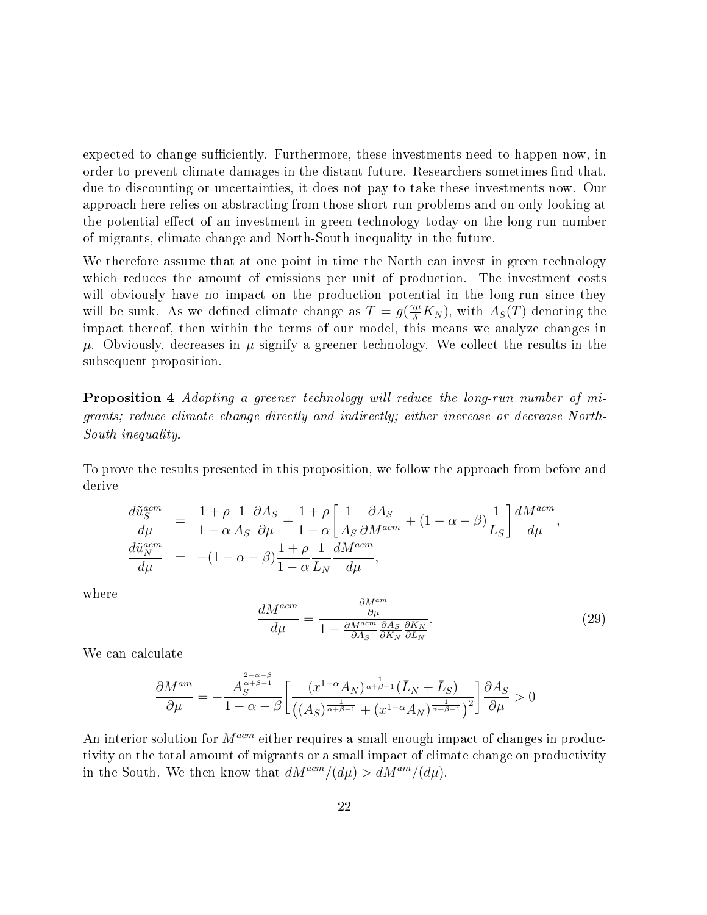expected to change sufficiently. Furthermore, these investments need to happen now, in order to prevent climate damages in the distant future. Researchers sometimes find that, due to discounting or uncertainties, it does not pay to take these investments now. Our approach here relies on abstracting from those short-run problems and on only looking at the potential effect of an investment in green technology today on the long-run number of migrants, climate change and North-South inequality in the future.

We therefore assume that at one point in time the North can invest in green technology which reduces the amount of emissions per unit of production. The investment costs will obviously have no impact on the production potential in the long-run since they will be sunk. As we defined climate change as  $T = g(\frac{\gamma \mu}{\delta} K_N)$ , with  $A_S(T)$  denoting the impact thereof, then within the terms of our model, this means we analyze changes in  $\mu$ . Obviously, decreases in  $\mu$  signify a greener technology. We collect the results in the subsequent proposition.

Proposition 4 Adopting a greener technology will reduce the long-run number of migrants; reduce climate change directly and indirectly; either increase or decrease North-South inequality.

To prove the results presented in this proposition, we follow the approach from before and derive

$$
\begin{array}{rcl}\n\frac{d\tilde{u}_{S}^{acm}}{d\mu} & = & \frac{1+\rho}{1-\alpha}\frac{1}{A_{S}}\frac{\partial A_{S}}{\partial\mu} + \frac{1+\rho}{1-\alpha}\left[\frac{1}{A_{S}}\frac{\partial A_{S}}{\partial M^{acm}} + (1-\alpha-\beta)\frac{1}{L_{S}}\right] \frac{dM^{acm}}{d\mu}, \\
\frac{d\tilde{u}_{N}^{acm}}{d\mu} & = & - (1-\alpha-\beta)\frac{1+\rho}{1-\alpha}\frac{1}{L_{N}}\frac{dM^{acm}}{d\mu},\n\end{array}
$$

where

$$
\frac{dM^{acm}}{d\mu} = \frac{\frac{\partial M^{am}}{\partial \mu}}{1 - \frac{\partial M^{acm}}{\partial A_S} \frac{\partial A_S}{\partial K_N} \frac{\partial K_N}{\partial L_N}}.\tag{29}
$$

We can calculate

$$
\frac{\partial M^{am}}{\partial \mu} = -\frac{A_S^{\frac{2-\alpha-\beta}{\alpha+\beta-1}}}{1-\alpha-\beta} \left[ \frac{(x^{1-\alpha}A_N)^{\frac{1}{\alpha+\beta-1}}(\bar{L}_N + \bar{L}_S)}{((A_S)^{\frac{1}{\alpha+\beta-1}} + (x^{1-\alpha}A_N)^{\frac{1}{\alpha+\beta-1}})^2} \right] \frac{\partial A_S}{\partial \mu} > 0
$$

An interior solution for  $M^{acm}$  either requires a small enough impact of changes in productivity on the total amount of migrants or a small impact of climate change on productivity in the South. We then know that  $dM^{acm}/(d\mu) > dM^{am}/(d\mu)$ .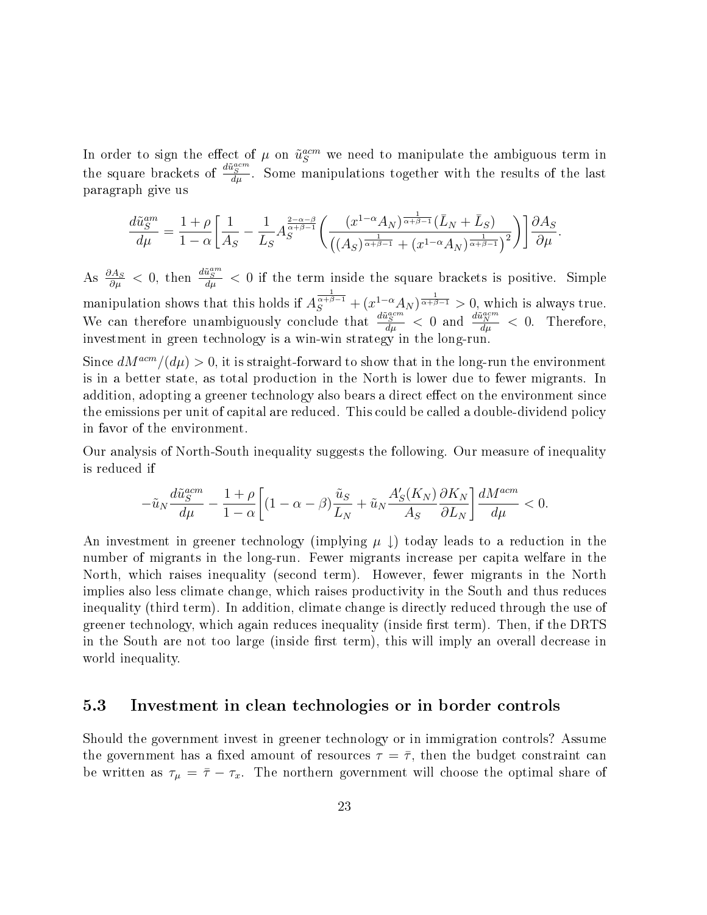In order to sign the effect of  $\mu$  on  $\tilde{u}_S^{acm}$  we need to manipulate the ambiguous term in the square brackets of  $\frac{d\tilde{u}^{acm}_{S}}{d\mu}$ . Some manipulations together with the results of the last paragraph give us

$$
\frac{d\tilde{u}_S^{am}}{d\mu} = \frac{1+\rho}{1-\alpha} \bigg[ \frac{1}{A_S} - \frac{1}{L_S} A_S^{\frac{2-\alpha-\beta}{\alpha+\beta-1}} \bigg( \frac{(x^{1-\alpha}A_N)^{\frac{1}{\alpha+\beta-1}} (\bar{L}_N + \bar{L}_S)}{((A_S)^{\frac{1}{\alpha+\beta-1}} + (x^{1-\alpha}A_N)^{\frac{1}{\alpha+\beta-1}})^2} \bigg) \bigg] \frac{\partial A_S}{\partial \mu}.
$$

As  $\frac{\partial A_S}{\partial \mu} < 0$ , then  $\frac{d\tilde{u}_S^{am}}{d\mu} < 0$  if the term inside the square brackets is positive. Simple manipulation shows that this holds if  $A_S^{\frac{1}{\alpha+\beta-1}} + (x^{1-\alpha}A_N)^{\frac{1}{\alpha+\beta-1}} > 0$ , which is always true. We can therefore unambiguously conclude that  $\frac{d\tilde{u}^{acm}_{S}}{d\mu} < 0$  and  $\frac{d\tilde{u}^{acm}_{N}}{d\mu} < 0$ . Therefore, investment in green technology is a win-win strategy in the long-run.

Since  $dM^{acm}/(d\mu) > 0$ , it is straight-forward to show that in the long-run the environment is in a better state, as total production in the North is lower due to fewer migrants. In addition, adopting a greener technology also bears a direct effect on the environment since the emissions per unit of capital are reduced. This could be called a double-dividend policy in favor of the environment.

Our analysis of North-South inequality suggests the following. Our measure of inequality is reduced if

$$
-\tilde{u}_N\frac{d\tilde{u}_S^{acm}}{d\mu}-\frac{1+\rho}{1-\alpha}\bigg[(1-\alpha-\beta)\frac{\tilde{u}_S}{L_N}+\tilde{u}_N\frac{A_S'(K_N)}{A_S}\frac{\partial K_N}{\partial L_N}\bigg]\frac{dM^{acm}}{d\mu}<0.
$$

An investment in greener technology (implying  $\mu \downarrow$ ) today leads to a reduction in the number of migrants in the long-run. Fewer migrants increase per capita welfare in the North, which raises inequality (second term). However, fewer migrants in the North implies also less climate change, which raises productivity in the South and thus reduces inequality (third term). In addition, climate change is directly reduced through the use of greener technology, which again reduces inequality (inside first term). Then, if the DRTS in the South are not too large (inside first term), this will imply an overall decrease in world inequality.

#### 5.3 Investment in clean technologies or in border controls

Should the government invest in greener technology or in immigration controls? Assume the government has a fixed amount of resources  $\tau = \bar{\tau}$ , then the budget constraint can be written as  $\tau_{\mu} = \bar{\tau} - \tau_x$ . The northern government will choose the optimal share of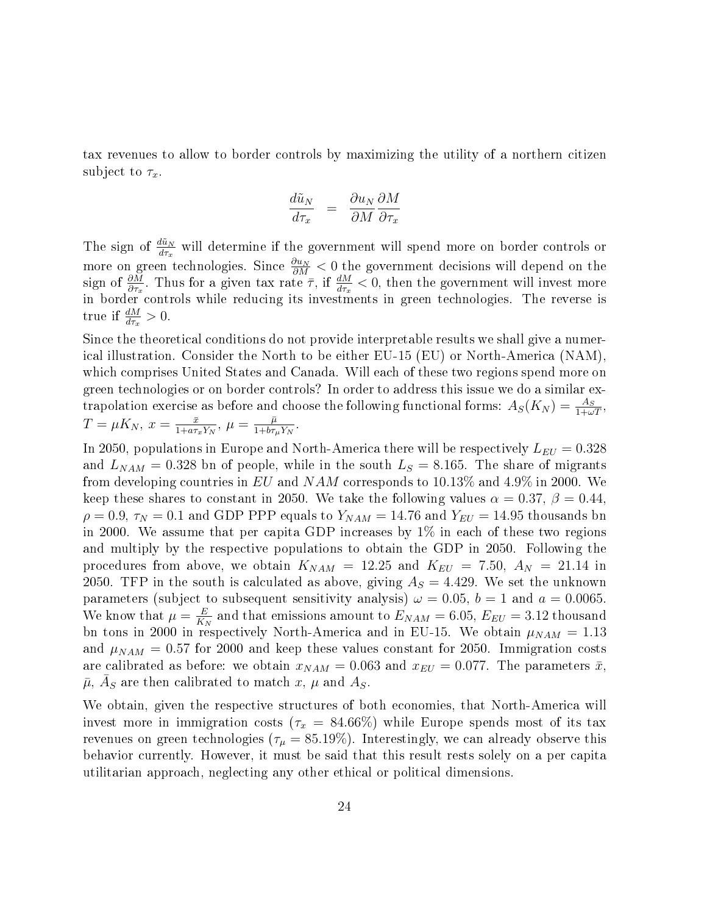tax revenues to allow to border controls by maximizing the utility of a northern citizen subject to  $\tau_x$ .

$$
\frac{d\tilde{u}_N}{d\tau_x} = \frac{\partial u_N}{\partial M} \frac{\partial M}{\partial \tau_x}
$$

The sign of  $\frac{d\tilde{u}_N}{dx}$  will determine if the government will spend more on border controls or more on green technologies. Since  $\frac{\partial u_N}{\partial M} < 0$  the government decisions will depend on the sign of  $\frac{\partial M}{\partial \tau_x}$ . Thus for a given tax rate  $\bar{\tau}$ , if  $\frac{dM}{d\tau_x} < 0$ , then the government will invest more in border controls while reducing its investments in green technologies. The reverse is true if  $\frac{dM}{d\tau_x} > 0$ .

Since the theoretical conditions do not provide interpretable results we shall give a numerical illustration. Consider the North to be either EU-15 (EU) or North-America (NAM), which comprises United States and Canada. Will each of these two regions spend more on green technologies or on border controls? In order to address this issue we do a similar extrapolation exercise as before and choose the following functional forms:  $A_S(K_N) = \frac{A_S}{1 + \omega T}$ ,  $T = \mu K_N, x = \frac{\bar{x}}{1 + a\tau}$  $\frac{\bar{x}}{1+a\tau_{x}Y_{N}},\,\mu=\frac{\bar{\mu}}{1+b\tau_{\mu}}$  $\frac{\mu}{1+b\tau_\mu Y_N}.$ 

In 2050, populations in Europe and North-America there will be respectively  $L_{EU} = 0.328$ and  $L_{NAM} = 0.328$  bn of people, while in the south  $L_S = 8.165$ . The share of migrants from developing countries in EU and NAM corresponds to  $10.13\%$  and  $4.9\%$  in 2000. We keep these shares to constant in 2050. We take the following values  $\alpha = 0.37$ ,  $\beta = 0.44$ .  $\rho = 0.9$ ,  $\tau_N = 0.1$  and GDP PPP equals to  $Y_{NAM} = 14.76$  and  $Y_{EU} = 14.95$  thousands bn in 2000. We assume that per capita GDP increases by  $1\%$  in each of these two regions and multiply by the respective populations to obtain the GDP in 2050. Following the procedures from above, we obtain  $K_{NAM}$  = 12.25 and  $K_{EU}$  = 7.50,  $A_N$  = 21.14 in 2050. TFP in the south is calculated as above, giving  $A<sub>S</sub> = 4.429$ . We set the unknown parameters (subject to subsequent sensitivity analysis)  $\omega = 0.05$ ,  $b = 1$  and  $a = 0.0065$ . We know that  $\mu = \frac{E}{K}$  $\frac{E}{K_N}$  and that emissions amount to  $E_{NAM} = 6.05, E_{EU} = 3.12$  thousand bn tons in 2000 in respectively North-America and in EU-15. We obtain  $\mu_{NAM} = 1.13$ and  $\mu_{NAM} = 0.57$  for 2000 and keep these values constant for 2050. Immigration costs are calibrated as before: we obtain  $x_{NAM} = 0.063$  and  $x_{EU} = 0.077$ . The parameters  $\bar{x}$ ,  $\bar{\mu},\,\bar{A}_S$  are then calibrated to match  $x,\,\mu$  and  $A_S.$ 

We obtain, given the respective structures of both economies, that North-America will invest more in immigration costs ( $\tau_x = 84.66\%$ ) while Europe spends most of its tax revenues on green technologies ( $\tau_{\mu} = 85.19\%$ ). Interestingly, we can already observe this behavior currently. However, it must be said that this result rests solely on a per capita utilitarian approach, neglecting any other ethical or political dimensions.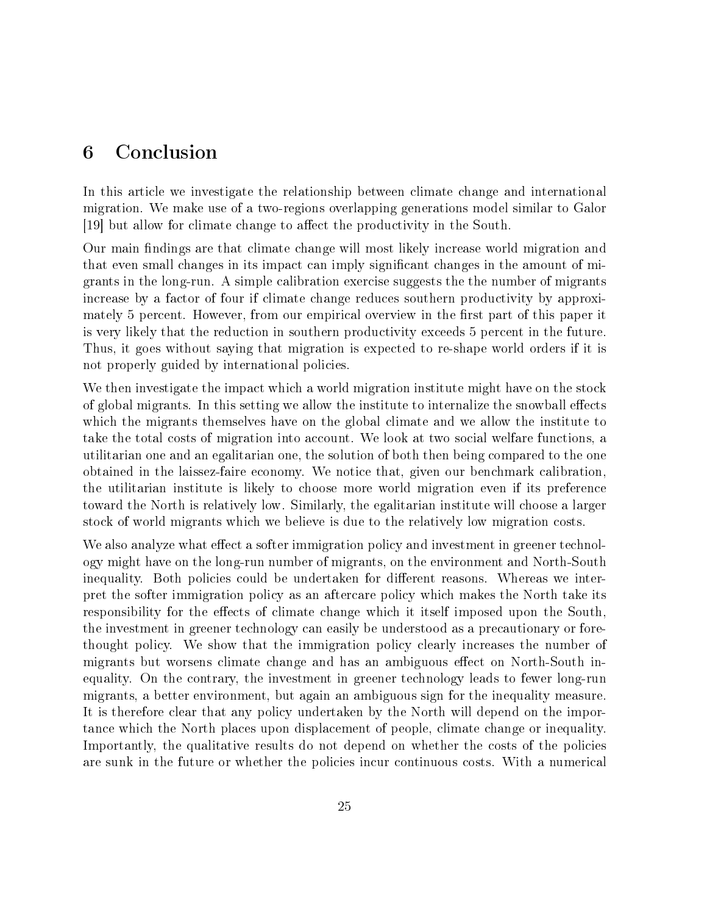# 6 Conclusion

In this article we investigate the relationship between climate change and international migration. We make use of a two-regions overlapping generations model similar to Galor [19] but allow for climate change to affect the productivity in the South.

Our main findings are that climate change will most likely increase world migration and that even small changes in its impact can imply signicant changes in the amount of migrants in the long-run. A simple calibration exercise suggests the the number of migrants increase by a factor of four if climate change reduces southern productivity by approximately 5 percent. However, from our empirical overview in the first part of this paper it is very likely that the reduction in southern productivity exceeds 5 percent in the future. Thus, it goes without saying that migration is expected to re-shape world orders if it is not properly guided by international policies.

We then investigate the impact which a world migration institute might have on the stock of global migrants. In this setting we allow the institute to internalize the snowball effects which the migrants themselves have on the global climate and we allow the institute to take the total costs of migration into account. We look at two social welfare functions, a utilitarian one and an egalitarian one, the solution of both then being compared to the one obtained in the laissez-faire economy. We notice that, given our benchmark calibration, the utilitarian institute is likely to choose more world migration even if its preference toward the North is relatively low. Similarly, the egalitarian institute will choose a larger stock of world migrants which we believe is due to the relatively low migration costs.

We also analyze what effect a softer immigration policy and investment in greener technology might have on the long-run number of migrants, on the environment and North-South inequality. Both policies could be undertaken for different reasons. Whereas we interpret the softer immigration policy as an aftercare policy which makes the North take its responsibility for the effects of climate change which it itself imposed upon the South. the investment in greener technology can easily be understood as a precautionary or forethought policy. We show that the immigration policy clearly increases the number of migrants but worsens climate change and has an ambiguous effect on North-South inequality. On the contrary, the investment in greener technology leads to fewer long-run migrants, a better environment, but again an ambiguous sign for the inequality measure. It is therefore clear that any policy undertaken by the North will depend on the importance which the North places upon displacement of people, climate change or inequality. Importantly, the qualitative results do not depend on whether the costs of the policies are sunk in the future or whether the policies incur continuous costs. With a numerical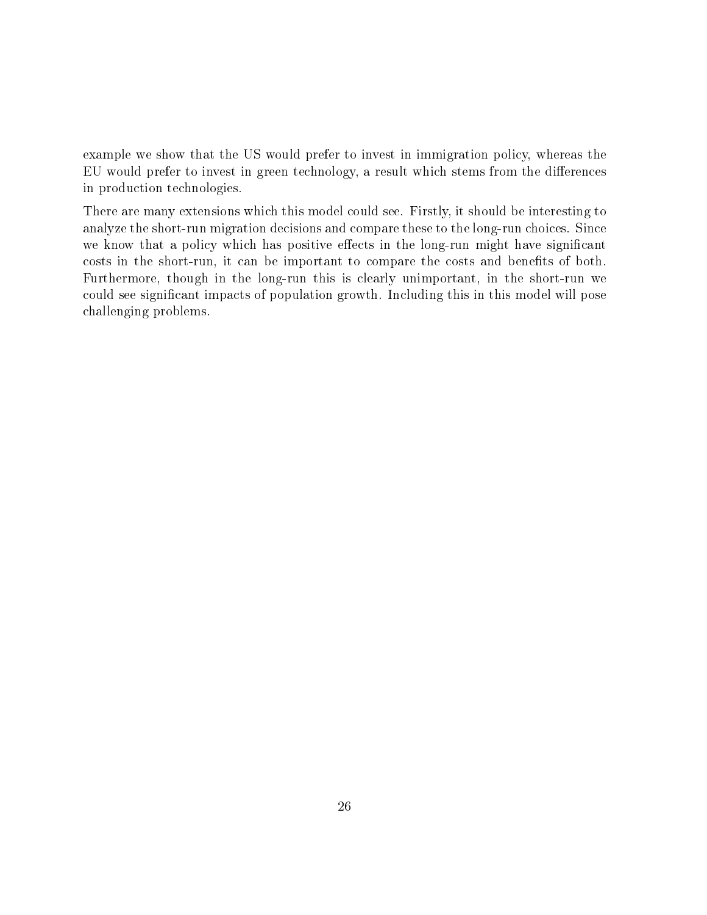example we show that the US would prefer to invest in immigration policy, whereas the EU would prefer to invest in green technology, a result which stems from the differences in production technologies.

There are many extensions which this model could see. Firstly, it should be interesting to analyze the short-run migration decisions and compare these to the long-run choices. Since we know that a policy which has positive effects in the long-run might have significant costs in the short-run, it can be important to compare the costs and benefits of both. Furthermore, though in the long-run this is clearly unimportant, in the short-run we could see signicant impacts of population growth. Including this in this model will pose challenging problems.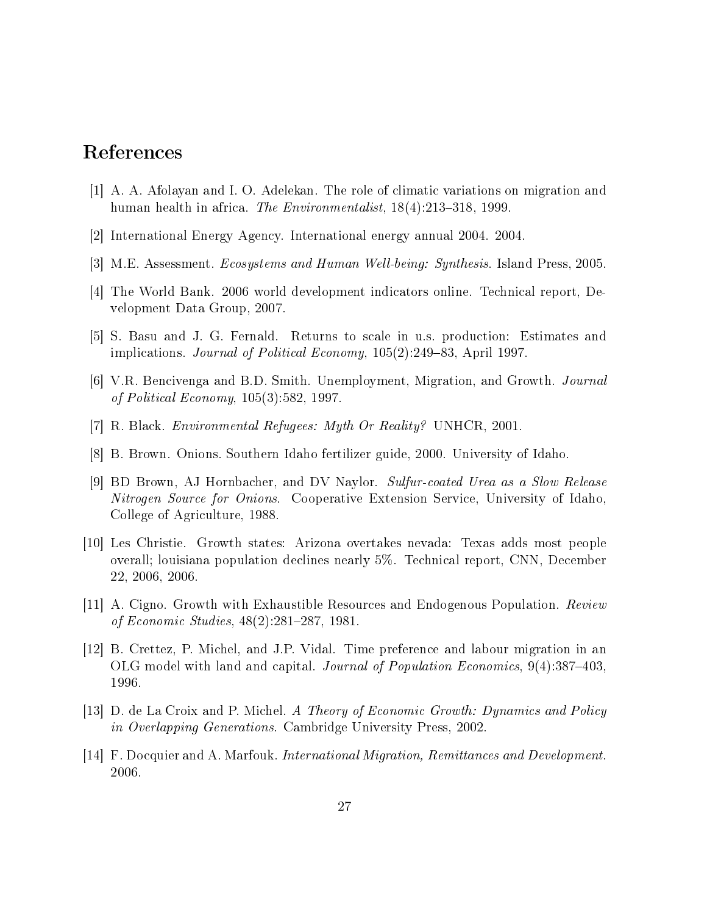# References

- [1] A. A. Afolayan and I. O. Adelekan. The role of climatic variations on migration and human health in africa. The Environmentalist,  $18(4):213-318$ , 1999.
- [2] International Energy Agency. International energy annual 2004. 2004.
- [3] M.E. Assessment. Ecosystems and Human Well-being: Synthesis. Island Press, 2005.
- [4] The World Bank. 2006 world development indicators online. Technical report, Development Data Group, 2007.
- [5] S. Basu and J. G. Fernald. Returns to scale in u.s. production: Estimates and implications. Journal of Political Economy,  $105(2):249-83$ , April 1997.
- [6] V.R. Bencivenga and B.D. Smith. Unemployment, Migration, and Growth. Journal of Political Economy, 105(3):582, 1997.
- [7] R. Black. Environmental Refugees: Myth Or Reality? UNHCR, 2001.
- [8] B. Brown. Onions. Southern Idaho fertilizer guide, 2000. University of Idaho.
- [9] BD Brown, AJ Hornbacher, and DV Naylor. Sulfur-coated Urea as a Slow Release Nitrogen Source for Onions. Cooperative Extension Service, University of Idaho, College of Agriculture, 1988.
- [10] Les Christie. Growth states: Arizona overtakes nevada: Texas adds most people overall; louisiana population declines nearly 5%. Technical report, CNN, December 22, 2006, 2006.
- [11] A. Cigno. Growth with Exhaustible Resources and Endogenous Population. Review of Economic Studies,  $48(2):281-287$ , 1981.
- [12] B. Crettez, P. Michel, and J.P. Vidal. Time preference and labour migration in an OLG model with land and capital. Journal of Population Economics, 9(4):387-403, 1996.
- [13] D. de La Croix and P. Michel. A Theory of Economic Growth: Dynamics and Policy in Overlapping Generations. Cambridge University Press, 2002.
- [14] F. Docquier and A. Marfouk. International Migration, Remittances and Development. 2006.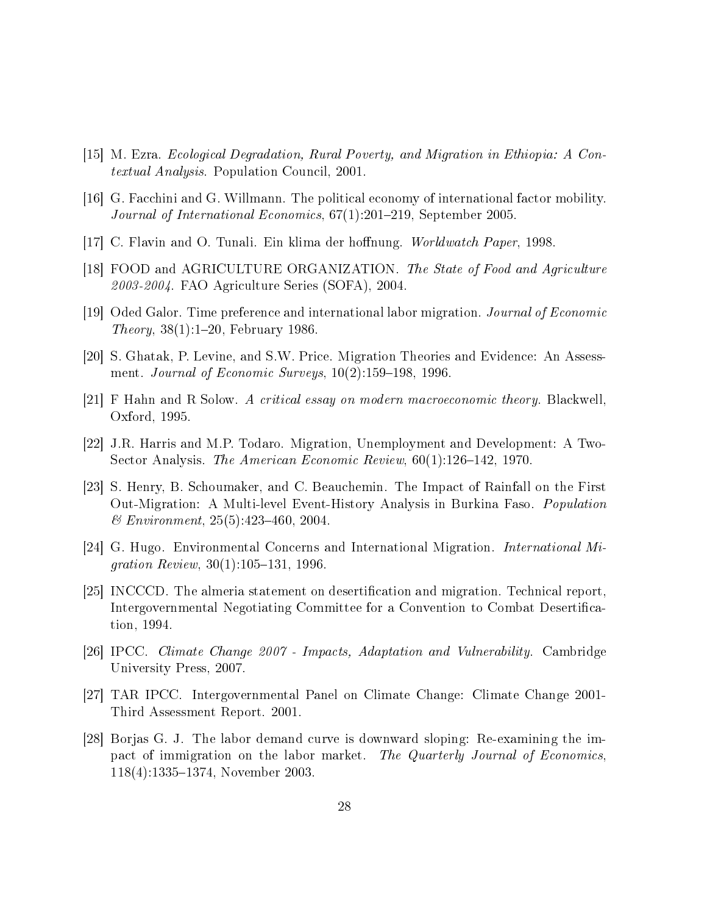- [15] M. Ezra. Ecological Degradation, Rural Poverty, and Migration in Ethiopia: A Contextual Analysis. Population Council, 2001.
- [16] G. Facchini and G. Willmann. The political economy of international factor mobility. Journal of International Economics,  $67(1):201-219$ , September 2005.
- [17] C. Flavin and O. Tunali. Ein klima der hoffnung. Worldwatch Paper, 1998.
- [18] FOOD and AGRICULTURE ORGANIZATION. The State of Food and Agriculture 2003-2004. FAO Agriculture Series (SOFA), 2004.
- [19] Oded Galor. Time preference and international labor migration. Journal of Economic *Theory*,  $38(1)$ :1-20, February 1986.
- [20] S. Ghatak, P. Levine, and S.W. Price. Migration Theories and Evidence: An Assessment. Journal of Economic Surveys,  $10(2):159-198$ , 1996.
- [21] F Hahn and R Solow. A critical essay on modern macroeconomic theory. Blackwell, Oxford, 1995.
- [22] J.R. Harris and M.P. Todaro. Migration, Unemployment and Development: A Two-Sector Analysis. The American Economic Review,  $60(1)$ :126-142, 1970.
- [23] S. Henry, B. Schoumaker, and C. Beauchemin. The Impact of Rainfall on the First Out-Migration: A Multi-level Event-History Analysis in Burkina Faso. Population  $& Environment, 25(5):423-460, 2004.$
- [24] G. Hugo. Environmental Concerns and International Migration. International Migration Review,  $30(1)$ :105-131, 1996.
- [25] INCCCD. The almeria statement on desertification and migration. Technical report, Intergovernmental Negotiating Committee for a Convention to Combat Desertication, 1994.
- [26] IPCC. Climate Change 2007 Impacts, Adaptation and Vulnerability. Cambridge University Press, 2007.
- [27] TAR IPCC. Intergovernmental Panel on Climate Change: Climate Change 2001- Third Assessment Report. 2001.
- [28] Borjas G. J. The labor demand curve is downward sloping: Re-examining the impact of immigration on the labor market. The Quarterly Journal of Economics, 118(4):1335–1374, November 2003.